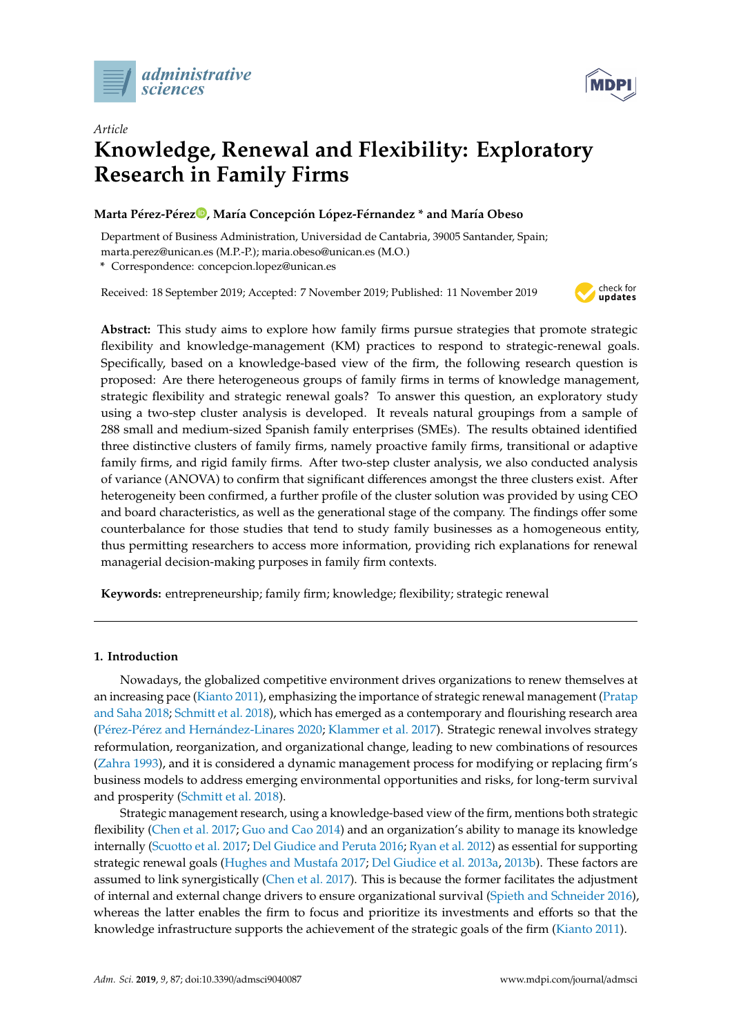



# *Article* **Knowledge, Renewal and Flexibility: Exploratory Research in Family Firms**

# **Marta Pérez-Pére[z](https://orcid.org/0000-0003-0342-504X) , María Concepción López-Férnandez \* and María Obeso**

Department of Business Administration, Universidad de Cantabria, 39005 Santander, Spain; marta.perez@unican.es (M.P.-P.); maria.obeso@unican.es (M.O.)

**\*** Correspondence: concepcion.lopez@unican.es

Received: 18 September 2019; Accepted: 7 November 2019; Published: 11 November 2019



**Abstract:** This study aims to explore how family firms pursue strategies that promote strategic flexibility and knowledge-management (KM) practices to respond to strategic-renewal goals. Specifically, based on a knowledge-based view of the firm, the following research question is proposed: Are there heterogeneous groups of family firms in terms of knowledge management, strategic flexibility and strategic renewal goals? To answer this question, an exploratory study using a two-step cluster analysis is developed. It reveals natural groupings from a sample of 288 small and medium-sized Spanish family enterprises (SMEs). The results obtained identified three distinctive clusters of family firms, namely proactive family firms, transitional or adaptive family firms, and rigid family firms. After two-step cluster analysis, we also conducted analysis of variance (ANOVA) to confirm that significant differences amongst the three clusters exist. After heterogeneity been confirmed, a further profile of the cluster solution was provided by using CEO and board characteristics, as well as the generational stage of the company. The findings offer some counterbalance for those studies that tend to study family businesses as a homogeneous entity, thus permitting researchers to access more information, providing rich explanations for renewal managerial decision-making purposes in family firm contexts.

**Keywords:** entrepreneurship; family firm; knowledge; flexibility; strategic renewal

# **1. Introduction**

Nowadays, the globalized competitive environment drives organizations to renew themselves at an increasing pace [\(Kianto](#page-15-0) [2011\)](#page-15-0), emphasizing the importance of strategic renewal management [\(Pratap](#page-15-1) [and Saha](#page-15-1) [2018;](#page-15-1) [Schmitt et al.](#page-16-0) [2018\)](#page-16-0), which has emerged as a contemporary and flourishing research area (Pérez-Pé[rez and Hern](#page-15-2)ández-Linares [2020;](#page-15-2) [Klammer et al.](#page-15-3) [2017\)](#page-15-3). Strategic renewal involves strategy reformulation, reorganization, and organizational change, leading to new combinations of resources [\(Zahra](#page-17-0) [1993\)](#page-17-0), and it is considered a dynamic management process for modifying or replacing firm's business models to address emerging environmental opportunities and risks, for long-term survival and prosperity [\(Schmitt et al.](#page-16-0) [2018\)](#page-16-0).

Strategic management research, using a knowledge-based view of the firm, mentions both strategic flexibility [\(Chen et al.](#page-13-0) [2017;](#page-13-0) [Guo and Cao](#page-14-0) [2014\)](#page-14-0) and an organization's ability to manage its knowledge internally [\(Scuotto et al.](#page-16-1) [2017;](#page-16-1) [Del Giudice and Peruta](#page-13-1) [2016;](#page-13-1) [Ryan et al.](#page-16-2) [2012\)](#page-16-2) as essential for supporting strategic renewal goals [\(Hughes and Mustafa](#page-15-4) [2017;](#page-15-4) [Del Giudice et al.](#page-14-1) [2013a,](#page-14-1) [2013b\)](#page-14-2). These factors are assumed to link synergistically [\(Chen et al.](#page-13-0) [2017\)](#page-13-0). This is because the former facilitates the adjustment of internal and external change drivers to ensure organizational survival [\(Spieth and Schneider](#page-16-3) [2016\)](#page-16-3), whereas the latter enables the firm to focus and prioritize its investments and efforts so that the knowledge infrastructure supports the achievement of the strategic goals of the firm [\(Kianto](#page-15-0) [2011\)](#page-15-0).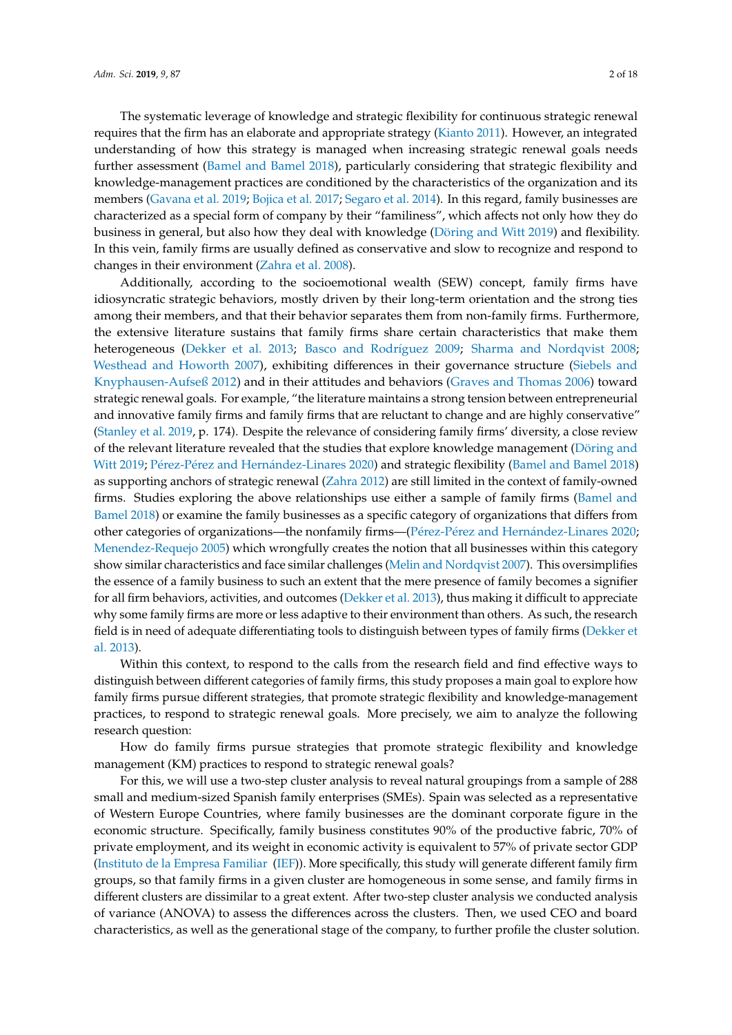The systematic leverage of knowledge and strategic flexibility for continuous strategic renewal requires that the firm has an elaborate and appropriate strategy [\(Kianto](#page-15-0) [2011\)](#page-15-0). However, an integrated understanding of how this strategy is managed when increasing strategic renewal goals needs further assessment [\(Bamel and Bamel](#page-12-0) [2018\)](#page-12-0), particularly considering that strategic flexibility and knowledge-management practices are conditioned by the characteristics of the organization and its members [\(Gavana et al.](#page-14-3) [2019;](#page-14-3) [Bojica et al.](#page-13-2) [2017;](#page-13-2) [Segaro et al.](#page-16-4) [2014\)](#page-16-4). In this regard, family businesses are characterized as a special form of company by their "familiness", which affects not only how they do business in general, but also how they deal with knowledge [\(Döring and Witt](#page-14-4) [2019\)](#page-14-4) and flexibility. In this vein, family firms are usually defined as conservative and slow to recognize and respond to changes in their environment [\(Zahra et al.](#page-17-1) [2008\)](#page-17-1).

Additionally, according to the socioemotional wealth (SEW) concept, family firms have idiosyncratic strategic behaviors, mostly driven by their long-term orientation and the strong ties among their members, and that their behavior separates them from non-family firms. Furthermore, the extensive literature sustains that family firms share certain characteristics that make them heterogeneous [\(Dekker et al.](#page-13-3) [2013;](#page-13-3) [Basco and Rodr](#page-12-1)íguez [2009;](#page-12-1) [Sharma and Nordqvist](#page-16-5) [2008;](#page-16-5) [Westhead and Howorth](#page-16-6) [2007\)](#page-16-6), exhibiting differences in their governance structure [\(Siebels and](#page-16-7) [Knyphausen-Aufseß](#page-16-7) [2012\)](#page-16-7) and in their attitudes and behaviors [\(Graves and Thomas](#page-14-5) [2006\)](#page-14-5) toward strategic renewal goals. For example, "the literature maintains a strong tension between entrepreneurial and innovative family firms and family firms that are reluctant to change and are highly conservative" [\(Stanley et al.](#page-16-8) [2019,](#page-16-8) p. 174). Despite the relevance of considering family firms' diversity, a close review of the relevant literature revealed that the studies that explore knowledge management [\(Döring and](#page-14-4) [Witt](#page-14-4) [2019;](#page-14-4) Pérez-Pé[rez and Hern](#page-15-2)ández-Linares [2020\)](#page-15-2) and strategic flexibility [\(Bamel and Bamel](#page-12-0) [2018\)](#page-12-0) as supporting anchors of strategic renewal [\(Zahra](#page-17-2) [2012\)](#page-17-2) are still limited in the context of family-owned firms. Studies exploring the above relationships use either a sample of family firms [\(Bamel and](#page-12-0) [Bamel](#page-12-0) [2018\)](#page-12-0) or examine the family businesses as a specific category of organizations that differs from other categories of organizations—the nonfamily firms—(Pérez-Pé[rez and Hern](#page-15-2)ández-Linares [2020;](#page-15-2) [Menendez-Requejo](#page-15-5) [2005\)](#page-15-5) which wrongfully creates the notion that all businesses within this category show similar characteristics and face similar challenges [\(Melin and Nordqvist](#page-15-6) [2007\)](#page-15-6). This oversimplifies the essence of a family business to such an extent that the mere presence of family becomes a signifier for all firm behaviors, activities, and outcomes [\(Dekker et al.](#page-13-3) [2013\)](#page-13-3), thus making it difficult to appreciate why some family firms are more or less adaptive to their environment than others. As such, the research field is in need of adequate differentiating tools to distinguish between types of family firms [\(Dekker et](#page-13-3) [al.](#page-13-3) [2013\)](#page-13-3).

Within this context, to respond to the calls from the research field and find effective ways to distinguish between different categories of family firms, this study proposes a main goal to explore how family firms pursue different strategies, that promote strategic flexibility and knowledge-management practices, to respond to strategic renewal goals. More precisely, we aim to analyze the following research question:

How do family firms pursue strategies that promote strategic flexibility and knowledge management (KM) practices to respond to strategic renewal goals?

For this, we will use a two-step cluster analysis to reveal natural groupings from a sample of 288 small and medium-sized Spanish family enterprises (SMEs). Spain was selected as a representative of Western Europe Countries, where family businesses are the dominant corporate figure in the economic structure. Specifically, family business constitutes 90% of the productive fabric, 70% of private employment, and its weight in economic activity is equivalent to 57% of private sector GDP [\(Instituto de la Empresa Familiar](#page-15-7) [\(IEF\)](#page-15-7)). More specifically, this study will generate different family firm groups, so that family firms in a given cluster are homogeneous in some sense, and family firms in different clusters are dissimilar to a great extent. After two-step cluster analysis we conducted analysis of variance (ANOVA) to assess the differences across the clusters. Then, we used CEO and board characteristics, as well as the generational stage of the company, to further profile the cluster solution.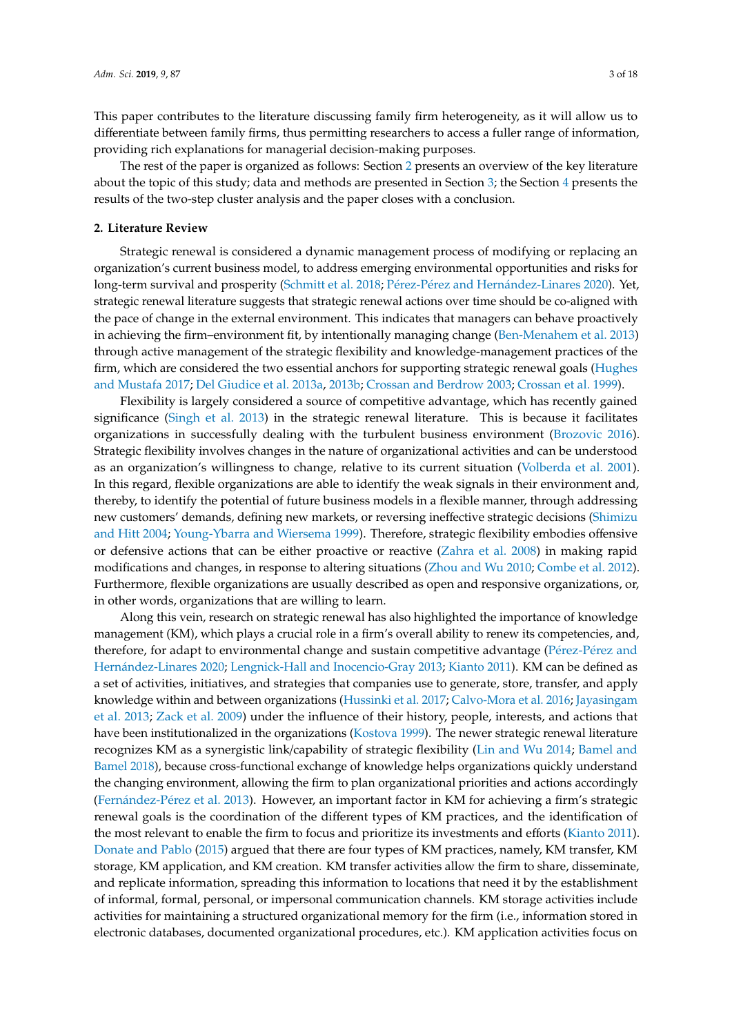This paper contributes to the literature discussing family firm heterogeneity, as it will allow us to differentiate between family firms, thus permitting researchers to access a fuller range of information, providing rich explanations for managerial decision-making purposes.

The rest of the paper is organized as follows: Section [2](#page-2-0) presents an overview of the key literature about the topic of this study; data and methods are presented in Section [3;](#page-4-0) the Section [4](#page-6-0) presents the results of the two-step cluster analysis and the paper closes with a conclusion.

#### <span id="page-2-0"></span>**2. Literature Review**

Strategic renewal is considered a dynamic management process of modifying or replacing an organization's current business model, to address emerging environmental opportunities and risks for long-term survival and prosperity [\(Schmitt et al.](#page-16-0) [2018;](#page-16-0) Pérez-Pé[rez and Hern](#page-15-2)ández-Linares [2020\)](#page-15-2). Yet, strategic renewal literature suggests that strategic renewal actions over time should be co-aligned with the pace of change in the external environment. This indicates that managers can behave proactively in achieving the firm–environment fit, by intentionally managing change [\(Ben-Menahem et al.](#page-12-2) [2013\)](#page-12-2) through active management of the strategic flexibility and knowledge-management practices of the firm, which are considered the two essential anchors for supporting strategic renewal goals [\(Hughes](#page-15-4) [and Mustafa](#page-15-4) [2017;](#page-15-4) [Del Giudice et al.](#page-14-1) [2013a,](#page-14-1) [2013b;](#page-14-2) [Crossan and Berdrow](#page-13-4) [2003;](#page-13-4) [Crossan et al.](#page-13-5) [1999\)](#page-13-5).

Flexibility is largely considered a source of competitive advantage, which has recently gained significance [\(Singh et al.](#page-16-9) [2013\)](#page-16-9) in the strategic renewal literature. This is because it facilitates organizations in successfully dealing with the turbulent business environment [\(Brozovic](#page-13-6) [2016\)](#page-13-6). Strategic flexibility involves changes in the nature of organizational activities and can be understood as an organization's willingness to change, relative to its current situation [\(Volberda et al.](#page-16-10) [2001\)](#page-16-10). In this regard, flexible organizations are able to identify the weak signals in their environment and, thereby, to identify the potential of future business models in a flexible manner, through addressing new customers' demands, defining new markets, or reversing ineffective strategic decisions [\(Shimizu](#page-16-11) [and Hitt](#page-16-11) [2004;](#page-16-11) [Young-Ybarra and Wiersema](#page-16-12) [1999\)](#page-16-12). Therefore, strategic flexibility embodies offensive or defensive actions that can be either proactive or reactive [\(Zahra et al.](#page-17-1) [2008\)](#page-17-1) in making rapid modifications and changes, in response to altering situations [\(Zhou and Wu](#page-17-3) [2010;](#page-17-3) [Combe et al.](#page-13-7) [2012\)](#page-13-7). Furthermore, flexible organizations are usually described as open and responsive organizations, or, in other words, organizations that are willing to learn.

Along this vein, research on strategic renewal has also highlighted the importance of knowledge management (KM), which plays a crucial role in a firm's overall ability to renew its competencies, and, therefore, for adapt to environmental change and sustain competitive advantage (Pérez-Pé[rez and](#page-15-2) Herná[ndez-Linares](#page-15-2) [2020;](#page-15-2) [Lengnick-Hall and Inocencio-Gray](#page-15-8) [2013;](#page-15-8) [Kianto](#page-15-0) [2011\)](#page-15-0). KM can be defined as a set of activities, initiatives, and strategies that companies use to generate, store, transfer, and apply knowledge within and between organizations [\(Hussinki et al.](#page-15-9) [2017;](#page-15-9) [Calvo-Mora et al.](#page-13-8) [2016;](#page-13-8) [Jayasingam](#page-15-10) [et al.](#page-15-10) [2013;](#page-15-10) [Zack et al.](#page-16-13) [2009\)](#page-16-13) under the influence of their history, people, interests, and actions that have been institutionalized in the organizations [\(Kostova](#page-15-11) [1999\)](#page-15-11). The newer strategic renewal literature recognizes KM as a synergistic link/capability of strategic flexibility [\(Lin and Wu](#page-15-12) [2014;](#page-15-12) [Bamel and](#page-12-0) [Bamel](#page-12-0) [2018\)](#page-12-0), because cross-functional exchange of knowledge helps organizations quickly understand the changing environment, allowing the firm to plan organizational priorities and actions accordingly (Fernández-Pé[rez et al.](#page-14-6) [2013\)](#page-14-6). However, an important factor in KM for achieving a firm's strategic renewal goals is the coordination of the different types of KM practices, and the identification of the most relevant to enable the firm to focus and prioritize its investments and efforts [\(Kianto](#page-15-0) [2011\)](#page-15-0). [Donate and Pablo](#page-14-7) [\(2015\)](#page-14-7) argued that there are four types of KM practices, namely, KM transfer, KM storage, KM application, and KM creation. KM transfer activities allow the firm to share, disseminate, and replicate information, spreading this information to locations that need it by the establishment of informal, formal, personal, or impersonal communication channels. KM storage activities include activities for maintaining a structured organizational memory for the firm (i.e., information stored in electronic databases, documented organizational procedures, etc.). KM application activities focus on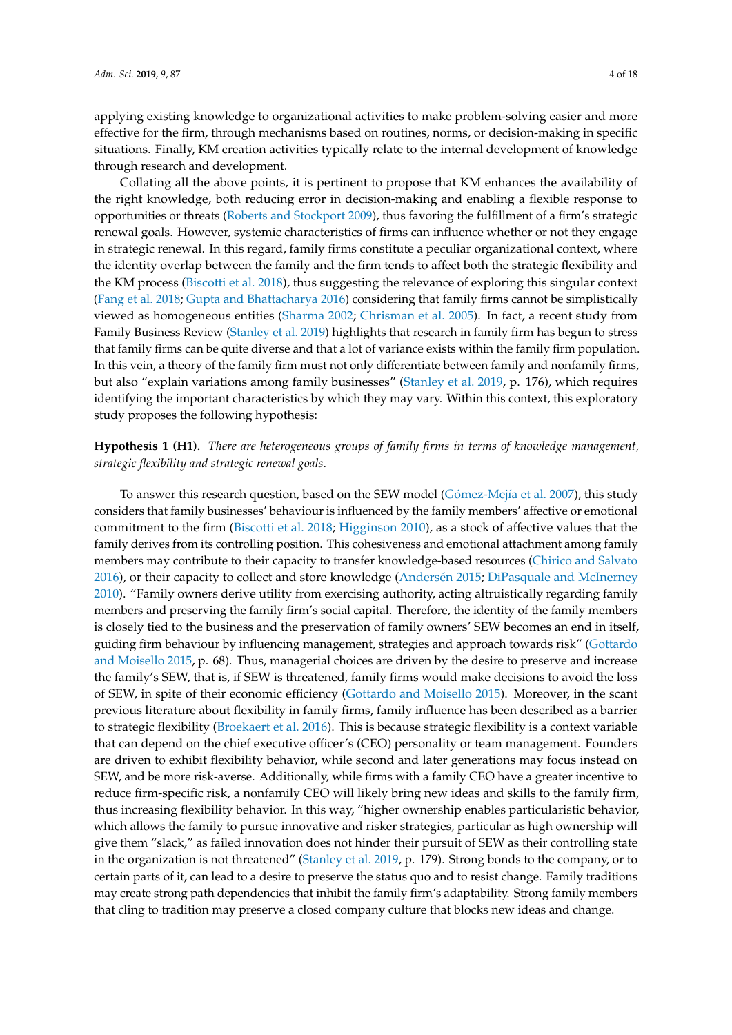applying existing knowledge to organizational activities to make problem-solving easier and more effective for the firm, through mechanisms based on routines, norms, or decision-making in specific situations. Finally, KM creation activities typically relate to the internal development of knowledge through research and development.

Collating all the above points, it is pertinent to propose that KM enhances the availability of the right knowledge, both reducing error in decision-making and enabling a flexible response to opportunities or threats [\(Roberts and Stockport](#page-15-13) [2009\)](#page-15-13), thus favoring the fulfillment of a firm's strategic renewal goals. However, systemic characteristics of firms can influence whether or not they engage in strategic renewal. In this regard, family firms constitute a peculiar organizational context, where the identity overlap between the family and the firm tends to affect both the strategic flexibility and the KM process [\(Biscotti et al.](#page-13-9) [2018\)](#page-13-9), thus suggesting the relevance of exploring this singular context [\(Fang et al.](#page-14-8) [2018;](#page-14-8) [Gupta and Bhattacharya](#page-14-9) [2016\)](#page-14-9) considering that family firms cannot be simplistically viewed as homogeneous entities [\(Sharma](#page-16-14) [2002;](#page-16-14) [Chrisman et al.](#page-13-10) [2005\)](#page-13-10). In fact, a recent study from Family Business Review [\(Stanley et al.](#page-16-8) [2019\)](#page-16-8) highlights that research in family firm has begun to stress that family firms can be quite diverse and that a lot of variance exists within the family firm population. In this vein, a theory of the family firm must not only differentiate between family and nonfamily firms, but also "explain variations among family businesses" [\(Stanley et al.](#page-16-8) [2019,](#page-16-8) p. 176), which requires identifying the important characteristics by which they may vary. Within this context, this exploratory study proposes the following hypothesis:

**Hypothesis 1 (H1).** *There are heterogeneous groups of family firms in terms of knowledge management, strategic flexibility and strategic renewal goals*.

To answer this research question, based on the SEW model (Gó[mez-Mej](#page-14-10)ía et al. [2007\)](#page-14-10), this study considers that family businesses' behaviour is influenced by the family members' affective or emotional commitment to the firm [\(Biscotti et al.](#page-13-9) [2018;](#page-13-9) [Higginson](#page-14-11) [2010\)](#page-14-11), as a stock of affective values that the family derives from its controlling position. This cohesiveness and emotional attachment among family members may contribute to their capacity to transfer knowledge-based resources [\(Chirico and Salvato](#page-13-11) [2016\)](#page-13-11), or their capacity to collect and store knowledge [\(Anders](#page-12-3)én [2015;](#page-12-3) [DiPasquale and McInerney](#page-14-12) [2010\)](#page-14-12). "Family owners derive utility from exercising authority, acting altruistically regarding family members and preserving the family firm's social capital. Therefore, the identity of the family members is closely tied to the business and the preservation of family owners' SEW becomes an end in itself, guiding firm behaviour by influencing management, strategies and approach towards risk" [\(Gottardo](#page-14-13) [and Moisello](#page-14-13) [2015,](#page-14-13) p. 68). Thus, managerial choices are driven by the desire to preserve and increase the family's SEW, that is, if SEW is threatened, family firms would make decisions to avoid the loss of SEW, in spite of their economic efficiency [\(Gottardo and Moisello](#page-14-13) [2015\)](#page-14-13). Moreover, in the scant previous literature about flexibility in family firms, family influence has been described as a barrier to strategic flexibility [\(Broekaert et al.](#page-13-12) [2016\)](#page-13-12). This is because strategic flexibility is a context variable that can depend on the chief executive officer's (CEO) personality or team management. Founders are driven to exhibit flexibility behavior, while second and later generations may focus instead on SEW, and be more risk-averse. Additionally, while firms with a family CEO have a greater incentive to reduce firm-specific risk, a nonfamily CEO will likely bring new ideas and skills to the family firm, thus increasing flexibility behavior. In this way, "higher ownership enables particularistic behavior, which allows the family to pursue innovative and risker strategies, particular as high ownership will give them "slack," as failed innovation does not hinder their pursuit of SEW as their controlling state in the organization is not threatened" [\(Stanley et al.](#page-16-8) [2019,](#page-16-8) p. 179). Strong bonds to the company, or to certain parts of it, can lead to a desire to preserve the status quo and to resist change. Family traditions may create strong path dependencies that inhibit the family firm's adaptability. Strong family members that cling to tradition may preserve a closed company culture that blocks new ideas and change.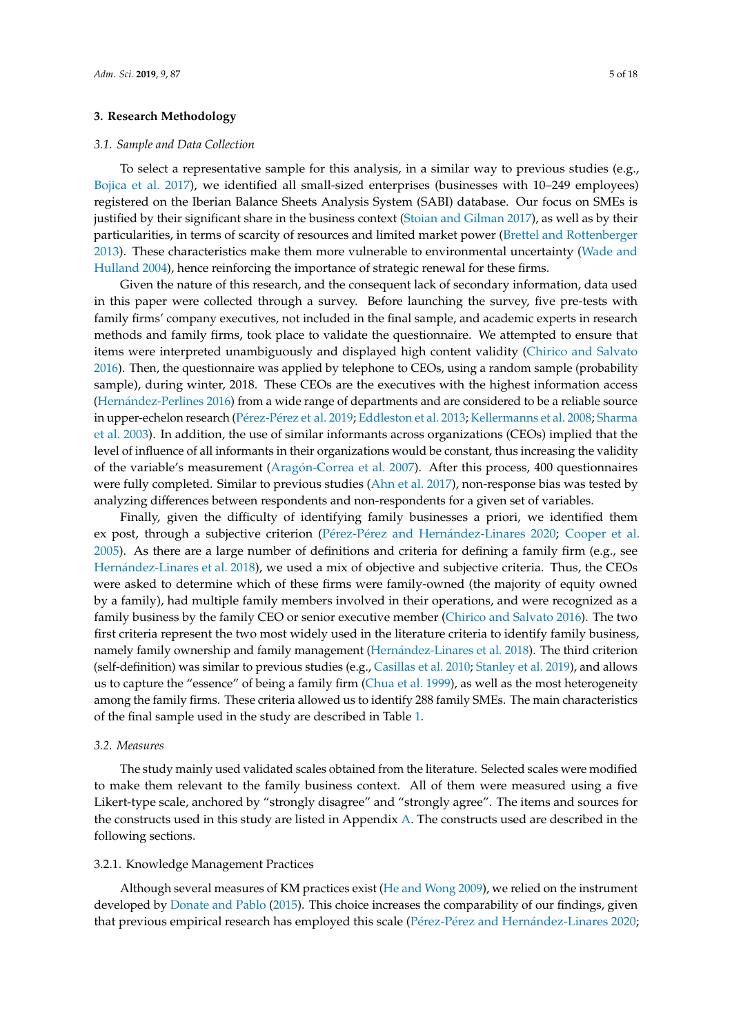# <span id="page-4-0"></span>**3. Research Methodology**

#### *3.1. Sample and Data Collection*

To select a representative sample for this analysis, in a similar way to previous studies (e.g., [Bojica et al.](#page-13-2) [2017\)](#page-13-2), we identified all small-sized enterprises (businesses with 10–249 employees) registered on the Iberian Balance Sheets Analysis System (SABI) database. Our focus on SMEs is justified by their significant share in the business context [\(Stoian and Gilman](#page-16-15) [2017\)](#page-16-15), as well as by their particularities, in terms of scarcity of resources and limited market power [\(Brettel and Rottenberger](#page-13-13) [2013\)](#page-13-13). These characteristics make them more vulnerable to environmental uncertainty [\(Wade and](#page-16-16) [Hulland](#page-16-16) [2004\)](#page-16-16), hence reinforcing the importance of strategic renewal for these firms.

Given the nature of this research, and the consequent lack of secondary information, data used in this paper were collected through a survey. Before launching the survey, five pre-tests with family firms' company executives, not included in the final sample, and academic experts in research methods and family firms, took place to validate the questionnaire. We attempted to ensure that items were interpreted unambiguously and displayed high content validity [\(Chirico and Salvato](#page-13-11) [2016\)](#page-13-11). Then, the questionnaire was applied by telephone to CEOs, using a random sample (probability sample), during winter, 2018. These CEOs are the executives with the highest information access (Herná[ndez-Perlines](#page-14-14) [2016\)](#page-14-14) from a wide range of departments and are considered to be a reliable source in upper-echelon research (Pé[rez-P](#page-15-14)érez et al. [2019;](#page-15-14) [Eddleston et al.](#page-14-15) [2013;](#page-14-15) [Kellermanns et al.](#page-15-15) [2008;](#page-15-15) [Sharma](#page-16-17) [et al.](#page-16-17) [2003\)](#page-16-17). In addition, the use of similar informants across organizations (CEOs) implied that the level of influence of all informants in their organizations would be constant, thus increasing the validity of the variable's measurement (Aragó[n-Correa et al.](#page-12-4) [2007\)](#page-12-4). After this process, 400 questionnaires were fully completed. Similar to previous studies [\(Ahn et al.](#page-12-5) [2017\)](#page-12-5), non-response bias was tested by analyzing differences between respondents and non-respondents for a given set of variables.

Finally, given the difficulty of identifying family businesses a priori, we identified them ex post, through a subjective criterion (Pérez-Pé[rez and Hern](#page-15-2)ández-Linares [2020;](#page-15-2) [Cooper et al.](#page-13-14) [2005\)](#page-13-14). As there are a large number of definitions and criteria for defining a family firm (e.g., see Herná[ndez-Linares et al.](#page-14-16) [2018\)](#page-14-16), we used a mix of objective and subjective criteria. Thus, the CEOs were asked to determine which of these firms were family-owned (the majority of equity owned by a family), had multiple family members involved in their operations, and were recognized as a family business by the family CEO or senior executive member [\(Chirico and Salvato](#page-13-11) [2016\)](#page-13-11). The two first criteria represent the two most widely used in the literature criteria to identify family business, namely family ownership and family management (Herná[ndez-Linares et al.](#page-14-16) [2018\)](#page-14-16). The third criterion (self-definition) was similar to previous studies (e.g., [Casillas et al.](#page-13-15) [2010;](#page-13-15) [Stanley et al.](#page-16-8) [2019\)](#page-16-8), and allows us to capture the "essence" of being a family firm [\(Chua et al.](#page-13-16) [1999\)](#page-13-16), as well as the most heterogeneity among the family firms. These criteria allowed us to identify 288 family SMEs. The main characteristics of the final sample used in the study are described in Table [1.](#page-5-0)

#### *3.2. Measures*

The study mainly used validated scales obtained from the literature. Selected scales were modified to make them relevant to the family business context. All of them were measured using a five Likert-type scale, anchored by "strongly disagree" and "strongly agree". The items and sources for the constructs used in this study are listed in Appendix [A.](#page-11-0) The constructs used are described in the following sections.

#### 3.2.1. Knowledge Management Practices

Although several measures of KM practices exist [\(He and Wong](#page-14-17) [2009\)](#page-14-17), we relied on the instrument developed by [Donate and Pablo](#page-14-7) [\(2015\)](#page-14-7). This choice increases the comparability of our findings, given that previous empirical research has employed this scale (Pérez-Pé[rez and Hern](#page-15-2)ández-Linares [2020;](#page-15-2)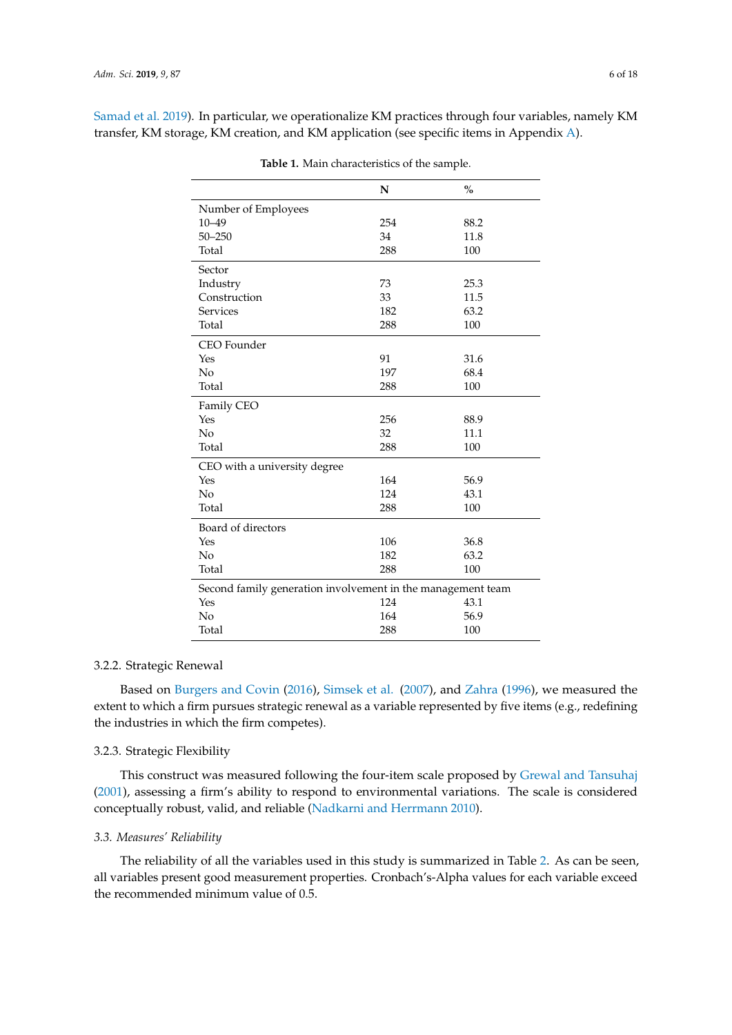<span id="page-5-0"></span>[Samad et al.](#page-16-18) [2019\)](#page-16-18). In particular, we operationalize KM practices through four variables, namely KM transfer, KM storage, KM creation, and KM application (see specific items in Appendix [A\)](#page-11-0).

|                                                             | N   | $\frac{0}{0}$ |  |
|-------------------------------------------------------------|-----|---------------|--|
| Number of Employees                                         |     |               |  |
| $10 - 49$                                                   | 254 | 88.2          |  |
| $50 - 250$                                                  | 34  | 11.8          |  |
| Total                                                       | 288 | 100           |  |
| Sector                                                      |     |               |  |
| Industry                                                    | 73  | 25.3          |  |
| Construction                                                | 33  | 11.5          |  |
| <b>Services</b>                                             | 182 | 63.2          |  |
| Total                                                       | 288 | 100           |  |
| CEO Founder                                                 |     |               |  |
| Yes                                                         | 91  | 31.6          |  |
| No                                                          | 197 | 68.4          |  |
| Total                                                       | 288 | 100           |  |
| Family CEO                                                  |     |               |  |
| Yes                                                         | 256 | 88.9          |  |
| No                                                          | 32  | 11.1          |  |
| Total                                                       | 288 | 100           |  |
| CEO with a university degree                                |     |               |  |
| Yes                                                         | 164 | 56.9          |  |
| No                                                          | 124 | 43.1          |  |
| Total                                                       | 288 | 100           |  |
| Board of directors                                          |     |               |  |
| Yes                                                         | 106 | 36.8          |  |
| No                                                          | 182 | 63.2          |  |
| Total                                                       | 288 | 100           |  |
| Second family generation involvement in the management team |     |               |  |
| Yes                                                         | 124 | 43.1          |  |
| N <sub>o</sub>                                              | 164 | 56.9          |  |
| Total                                                       | 288 | 100           |  |

**Table 1.** Main characteristics of the sample.

# 3.2.2. Strategic Renewal

Based on [Burgers and Covin](#page-13-17) [\(2016\)](#page-13-17), [Simsek et al.](#page-16-19) [\(2007\)](#page-16-19), and [Zahra](#page-17-4) [\(1996\)](#page-17-4), we measured the extent to which a firm pursues strategic renewal as a variable represented by five items (e.g., redefining the industries in which the firm competes).

## 3.2.3. Strategic Flexibility

This construct was measured following the four-item scale proposed by [Grewal and Tansuhaj](#page-14-18) [\(2001\)](#page-14-18), assessing a firm's ability to respond to environmental variations. The scale is considered conceptually robust, valid, and reliable [\(Nadkarni and Herrmann](#page-15-16) [2010\)](#page-15-16).

# *3.3. Measures' Reliability*

The reliability of all the variables used in this study is summarized in Table [2.](#page-6-1) As can be seen, all variables present good measurement properties. Cronbach's-Alpha values for each variable exceed the recommended minimum value of 0.5.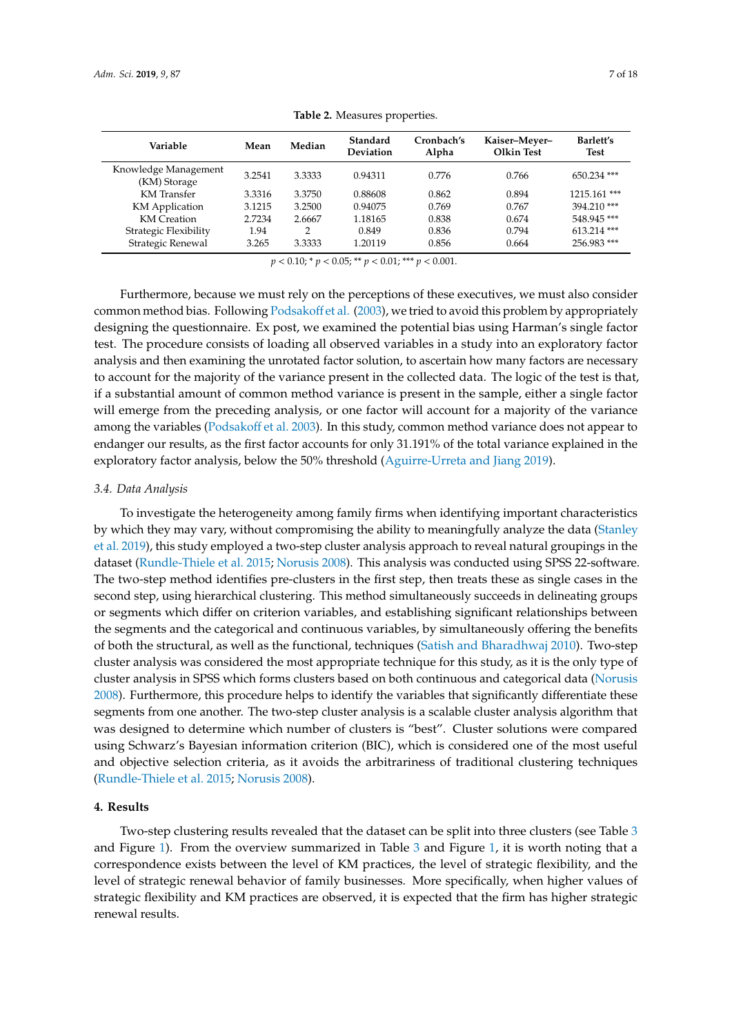<span id="page-6-1"></span>

| Mean   | Median | Standard<br><b>Deviation</b> | Cronbach's<br>Alpha | Kaiser-Meyer-<br>Olkin Test | Barlett's<br><b>Test</b> |
|--------|--------|------------------------------|---------------------|-----------------------------|--------------------------|
| 3.2541 | 3.3333 | 0.94311                      | 0.776               | 0.766                       | $650.234$ ***            |
| 3.3316 | 3.3750 | 0.88608                      | 0.862               | 0.894                       | 1215.161***              |
| 3.1215 | 3.2500 | 0.94075                      | 0.769               | 0.767                       | 394.210***               |
| 2.7234 | 2.6667 | 1.18165                      | 0.838               | 0.674                       | 548.945***               |
| 1.94   | 2      | 0.849                        | 0.836               | 0.794                       | $613.214$ ***            |
| 3.265  | 3.3333 | 1.20119                      | 0.856               | 0.664                       | 256.983 ***              |
|        |        |                              |                     |                             |                          |

**Table 2.** Measures properties.

*p* < 0.10; \* *p* < 0.05; \*\* *p* < 0.01; \*\*\* *p* < 0.001.

Furthermore, because we must rely on the perceptions of these executives, we must also consider common method bias. Following [Podsako](#page-15-17)ff et al. [\(2003\)](#page-15-17), we tried to avoid this problem by appropriately designing the questionnaire. Ex post, we examined the potential bias using Harman's single factor test. The procedure consists of loading all observed variables in a study into an exploratory factor analysis and then examining the unrotated factor solution, to ascertain how many factors are necessary to account for the majority of the variance present in the collected data. The logic of the test is that, if a substantial amount of common method variance is present in the sample, either a single factor will emerge from the preceding analysis, or one factor will account for a majority of the variance among the variables [\(Podsako](#page-15-17)ff et al. [2003\)](#page-15-17). In this study, common method variance does not appear to endanger our results, as the first factor accounts for only 31.191% of the total variance explained in the exploratory factor analysis, below the 50% threshold [\(Aguirre-Urreta and Jiang](#page-12-6) [2019\)](#page-12-6).

## *3.4. Data Analysis*

To investigate the heterogeneity among family firms when identifying important characteristics by which they may vary, without compromising the ability to meaningfully analyze the data [\(Stanley](#page-16-8) [et al.](#page-16-8) [2019\)](#page-16-8), this study employed a two-step cluster analysis approach to reveal natural groupings in the dataset [\(Rundle-Thiele et al.](#page-15-18) [2015;](#page-15-18) [Norusis](#page-15-19) [2008\)](#page-15-19). This analysis was conducted using SPSS 22-software. The two-step method identifies pre-clusters in the first step, then treats these as single cases in the second step, using hierarchical clustering. This method simultaneously succeeds in delineating groups or segments which differ on criterion variables, and establishing significant relationships between the segments and the categorical and continuous variables, by simultaneously offering the benefits of both the structural, as well as the functional, techniques [\(Satish and Bharadhwaj](#page-16-20) [2010\)](#page-16-20). Two-step cluster analysis was considered the most appropriate technique for this study, as it is the only type of cluster analysis in SPSS which forms clusters based on both continuous and categorical data [\(Norusis](#page-15-19) [2008\)](#page-15-19). Furthermore, this procedure helps to identify the variables that significantly differentiate these segments from one another. The two-step cluster analysis is a scalable cluster analysis algorithm that was designed to determine which number of clusters is "best". Cluster solutions were compared using Schwarz's Bayesian information criterion (BIC), which is considered one of the most useful and objective selection criteria, as it avoids the arbitrariness of traditional clustering techniques [\(Rundle-Thiele et al.](#page-15-18) [2015;](#page-15-18) [Norusis](#page-15-19) [2008\)](#page-15-19).

# <span id="page-6-0"></span>**4. Results**

Two-step clustering results revealed that the dataset can be split into three clusters (see Table [3](#page-7-0) and Figure [1\)](#page-7-1). From the overview summarized in Table [3](#page-7-0) and Figure [1,](#page-7-1) it is worth noting that a correspondence exists between the level of KM practices, the level of strategic flexibility, and the level of strategic renewal behavior of family businesses. More specifically, when higher values of strategic flexibility and KM practices are observed, it is expected that the firm has higher strategic renewal results.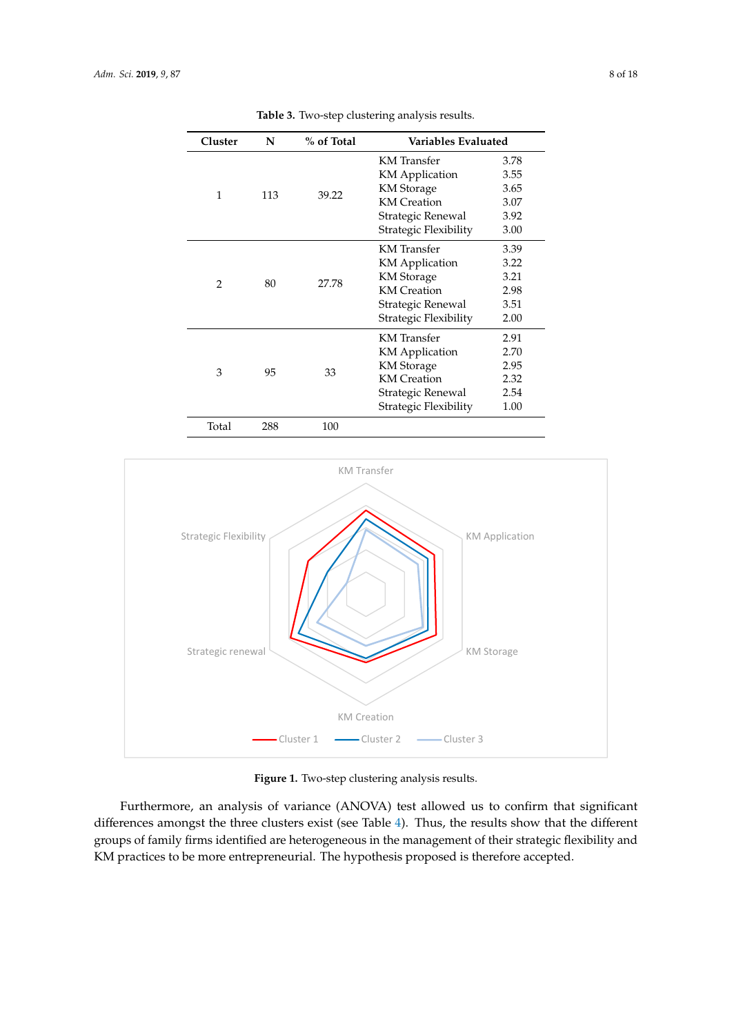<span id="page-7-0"></span>

| Cluster       | N   | % of Total            | Variables Evaluated   |                    |      |
|---------------|-----|-----------------------|-----------------------|--------------------|------|
|               |     |                       | <b>KM</b> Transfer    | 3.78               |      |
|               |     |                       | <b>KM</b> Application | 3.55               |      |
| 1             |     | 39.22                 | <b>KM</b> Storage     | 3.65               |      |
|               | 113 |                       | <b>KM</b> Creation    | 3.07               |      |
|               |     |                       | Strategic Renewal     | 3.92               |      |
|               |     |                       | Strategic Flexibility | 3.00               |      |
|               |     |                       |                       | <b>KM</b> Transfer | 3.39 |
|               |     | <b>KM</b> Application | 3.22                  |                    |      |
| $\mathcal{P}$ | 80  | 27.78                 | <b>KM</b> Storage     | 3.21               |      |
|               |     |                       | <b>KM</b> Creation    | 2.98               |      |
|               |     |                       | Strategic Renewal     | 3.51               |      |
|               |     |                       | Strategic Flexibility | 2.00               |      |
|               |     |                       | <b>KM</b> Transfer    | 2.91               |      |
|               |     |                       | KM Application        | 2.70               |      |
|               |     |                       | <b>KM</b> Storage     | 2.95               |      |
| 3<br>95       | 33  | <b>KM</b> Creation    | 2.32                  |                    |      |
|               |     |                       | Strategic Renewal     | 2.54               |      |
|               |     |                       | Strategic Flexibility | 1.00               |      |
| Total         | 288 | 100                   |                       |                    |      |

Total 288 100

Table 3. Two-step clustering analysis results.

<span id="page-7-1"></span>

**Figure 1.** Two-step clustering analysis results. **Figure 1.** Two-step clustering analysis results.

Furthermore, an analysis of variance (ANOVA) test allowed us to confirm that significant Furthermore, an analysis of variance (ANOVA) test allowed us to confirm that significant differences amongst the three clusters exist (see Table [4](#page-8-0)). Thus, the results show that the different differences amongst the three clusters exist (see Table 4). Thus, the results show that the different groups of family firms identified are heterogeneous in the management of their strategic flexibility groups of family firms identified are heterogeneous in the management of their strategic flexibility and KM practices to be more entrepreneurial. The hypothesis proposed is therefore accepted.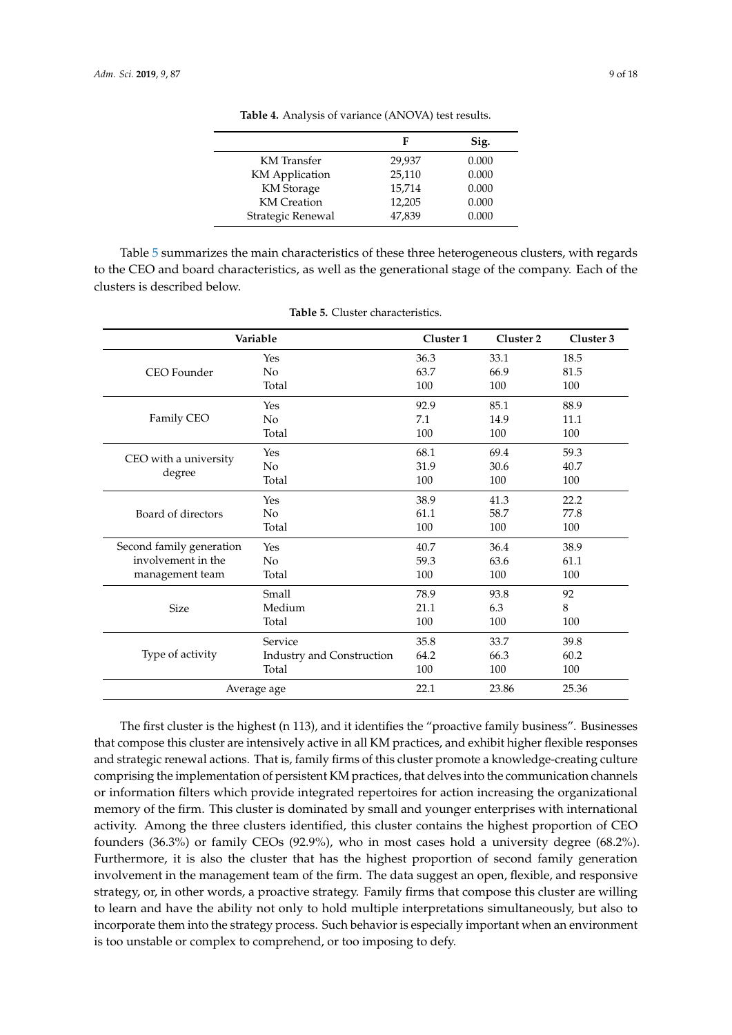<span id="page-8-0"></span>

|                       | F      | Sig.  |
|-----------------------|--------|-------|
| <b>KM</b> Transfer    | 29,937 | 0.000 |
| <b>KM</b> Application | 25,110 | 0.000 |
| <b>KM</b> Storage     | 15,714 | 0.000 |
| <b>KM</b> Creation    | 12,205 | 0.000 |
| Strategic Renewal     | 47,839 | 0.000 |

**Table 4.** Analysis of variance (ANOVA) test results.

Table [5](#page-8-1) summarizes the main characteristics of these three heterogeneous clusters, with regards to the CEO and board characteristics, as well as the generational stage of the company. Each of the clusters is described below.

<span id="page-8-1"></span>

|                          | Variable                  | Cluster 1 | Cluster 2 | Cluster 3 |
|--------------------------|---------------------------|-----------|-----------|-----------|
|                          | Yes                       | 36.3      | 33.1      | 18.5      |
| CEO Founder              | No                        | 63.7      | 66.9      | 81.5      |
|                          | Total                     | 100       | 100       | 100       |
|                          | Yes                       | 92.9      | 85.1      | 88.9      |
| Family CEO               | No                        | 7.1       | 14.9      | 11.1      |
|                          | Total                     | 100       | 100       | 100       |
| CEO with a university    | Yes                       | 68.1      | 69.4      | 59.3      |
| degree                   | No                        | 31.9      | 30.6      | 40.7      |
|                          | Total                     | 100       | 100       | 100       |
|                          | Yes                       | 38.9      | 41.3      | 22.2      |
| Board of directors       | No                        | 61.1      | 58.7      | 77.8      |
|                          | Total                     | 100       | 100       | 100       |
| Second family generation | Yes                       | 40.7      | 36.4      | 38.9      |
| involvement in the       | No                        | 59.3      | 63.6      | 61.1      |
| management team          | Total                     | 100       | 100       | 100       |
|                          | Small                     | 78.9      | 93.8      | 92        |
| <b>Size</b>              | Medium                    | 21.1      | 6.3       | 8         |
|                          | Total                     | 100       | 100       | 100       |
|                          | Service                   | 35.8      | 33.7      | 39.8      |
| Type of activity         | Industry and Construction | 64.2      | 66.3      | 60.2      |
|                          | Total                     | 100       | 100       | 100       |
| Average age              |                           | 22.1      | 23.86     | 25.36     |

**Table 5.** Cluster characteristics.

The first cluster is the highest (n 113), and it identifies the "proactive family business". Businesses that compose this cluster are intensively active in all KM practices, and exhibit higher flexible responses and strategic renewal actions. That is, family firms of this cluster promote a knowledge-creating culture comprising the implementation of persistent KM practices, that delves into the communication channels or information filters which provide integrated repertoires for action increasing the organizational memory of the firm. This cluster is dominated by small and younger enterprises with international activity. Among the three clusters identified, this cluster contains the highest proportion of CEO founders (36.3%) or family CEOs (92.9%), who in most cases hold a university degree (68.2%). Furthermore, it is also the cluster that has the highest proportion of second family generation involvement in the management team of the firm. The data suggest an open, flexible, and responsive strategy, or, in other words, a proactive strategy. Family firms that compose this cluster are willing to learn and have the ability not only to hold multiple interpretations simultaneously, but also to incorporate them into the strategy process. Such behavior is especially important when an environment is too unstable or complex to comprehend, or too imposing to defy.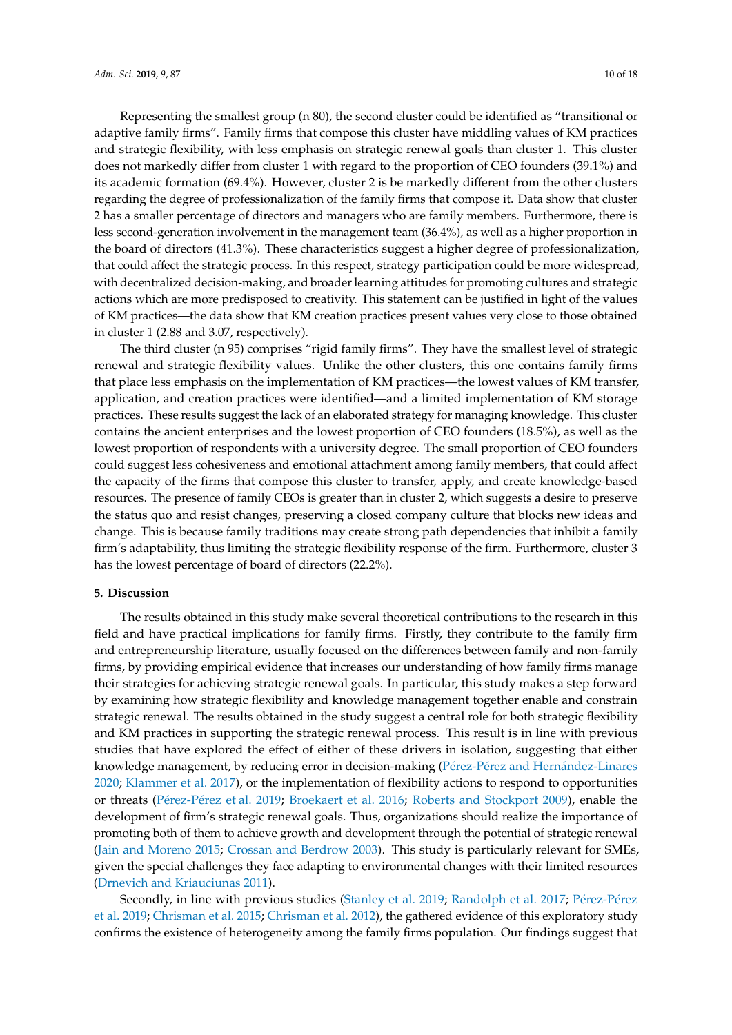Representing the smallest group (n 80), the second cluster could be identified as "transitional or adaptive family firms". Family firms that compose this cluster have middling values of KM practices and strategic flexibility, with less emphasis on strategic renewal goals than cluster 1. This cluster does not markedly differ from cluster 1 with regard to the proportion of CEO founders (39.1%) and its academic formation (69.4%). However, cluster 2 is be markedly different from the other clusters regarding the degree of professionalization of the family firms that compose it. Data show that cluster 2 has a smaller percentage of directors and managers who are family members. Furthermore, there is less second-generation involvement in the management team (36.4%), as well as a higher proportion in the board of directors (41.3%). These characteristics suggest a higher degree of professionalization, that could affect the strategic process. In this respect, strategy participation could be more widespread, with decentralized decision-making, and broader learning attitudes for promoting cultures and strategic actions which are more predisposed to creativity. This statement can be justified in light of the values of KM practices—the data show that KM creation practices present values very close to those obtained in cluster 1 (2.88 and 3.07, respectively).

The third cluster (n 95) comprises "rigid family firms". They have the smallest level of strategic renewal and strategic flexibility values. Unlike the other clusters, this one contains family firms that place less emphasis on the implementation of KM practices—the lowest values of KM transfer, application, and creation practices were identified—and a limited implementation of KM storage practices. These results suggest the lack of an elaborated strategy for managing knowledge. This cluster contains the ancient enterprises and the lowest proportion of CEO founders (18.5%), as well as the lowest proportion of respondents with a university degree. The small proportion of CEO founders could suggest less cohesiveness and emotional attachment among family members, that could affect the capacity of the firms that compose this cluster to transfer, apply, and create knowledge-based resources. The presence of family CEOs is greater than in cluster 2, which suggests a desire to preserve the status quo and resist changes, preserving a closed company culture that blocks new ideas and change. This is because family traditions may create strong path dependencies that inhibit a family firm's adaptability, thus limiting the strategic flexibility response of the firm. Furthermore, cluster 3 has the lowest percentage of board of directors (22.2%).

# **5. Discussion**

The results obtained in this study make several theoretical contributions to the research in this field and have practical implications for family firms. Firstly, they contribute to the family firm and entrepreneurship literature, usually focused on the differences between family and non-family firms, by providing empirical evidence that increases our understanding of how family firms manage their strategies for achieving strategic renewal goals. In particular, this study makes a step forward by examining how strategic flexibility and knowledge management together enable and constrain strategic renewal. The results obtained in the study suggest a central role for both strategic flexibility and KM practices in supporting the strategic renewal process. This result is in line with previous studies that have explored the effect of either of these drivers in isolation, suggesting that either knowledge management, by reducing error in decision-making (Pérez-Pé[rez and Hern](#page-15-2)ández-Linares [2020;](#page-15-2) [Klammer et al.](#page-15-3) [2017\)](#page-15-3), or the implementation of flexibility actions to respond to opportunities or threats (Pé[rez-P](#page-15-14)érez et al. [2019;](#page-15-14) [Broekaert et al.](#page-13-12) [2016;](#page-13-12) [Roberts and Stockport](#page-15-13) [2009\)](#page-15-13), enable the development of firm's strategic renewal goals. Thus, organizations should realize the importance of promoting both of them to achieve growth and development through the potential of strategic renewal [\(Jain and Moreno](#page-15-20) [2015;](#page-15-20) [Crossan and Berdrow](#page-13-4) [2003\)](#page-13-4). This study is particularly relevant for SMEs, given the special challenges they face adapting to environmental changes with their limited resources [\(Drnevich and Kriauciunas](#page-14-19) [2011\)](#page-14-19).

Secondly, in line with previous studies [\(Stanley et al.](#page-16-8) [2019;](#page-16-8) [Randolph et al.](#page-15-21) [2017;](#page-15-21) Pé[rez-P](#page-15-14)érez [et al.](#page-15-14) [2019;](#page-15-14) [Chrisman et al.](#page-13-18) [2015;](#page-13-18) [Chrisman et al.](#page-13-19) [2012\)](#page-13-19), the gathered evidence of this exploratory study confirms the existence of heterogeneity among the family firms population. Our findings suggest that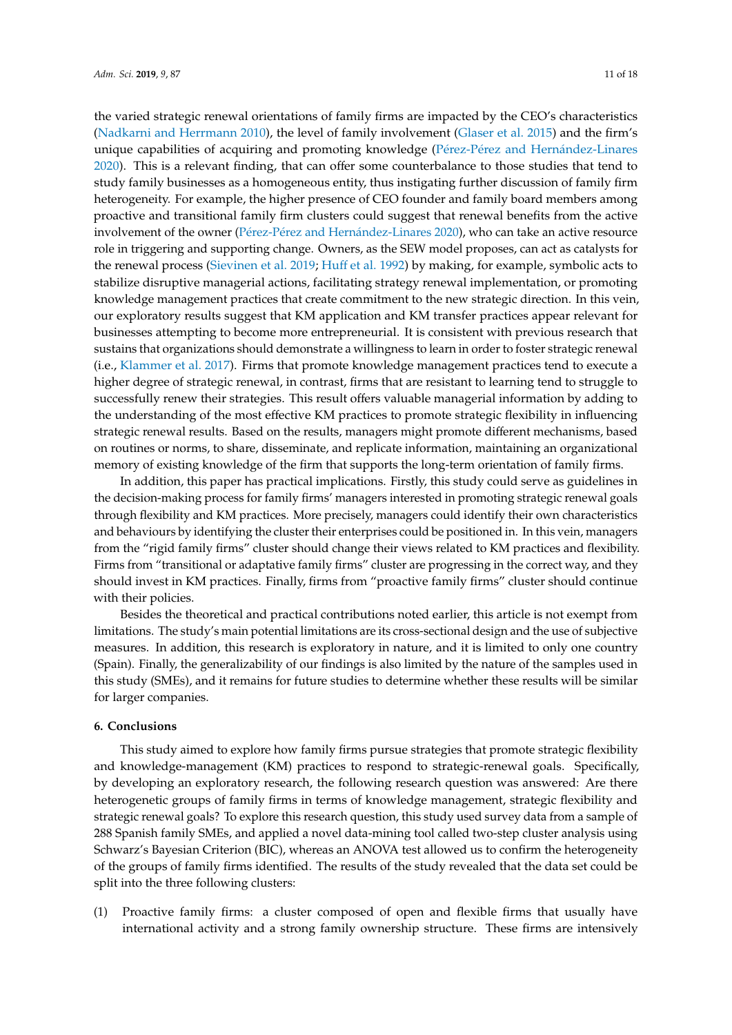the varied strategic renewal orientations of family firms are impacted by the CEO's characteristics [\(Nadkarni and Herrmann](#page-15-16) [2010\)](#page-15-16), the level of family involvement [\(Glaser et al.](#page-14-20) [2015\)](#page-14-20) and the firm's unique capabilities of acquiring and promoting knowledge (Pérez-Pé[rez and Hern](#page-15-2)ández-Linares [2020\)](#page-15-2). This is a relevant finding, that can offer some counterbalance to those studies that tend to study family businesses as a homogeneous entity, thus instigating further discussion of family firm heterogeneity. For example, the higher presence of CEO founder and family board members among proactive and transitional family firm clusters could suggest that renewal benefits from the active involvement of the owner (Pérez-Pé[rez and Hern](#page-15-2)ández-Linares [2020\)](#page-15-2), who can take an active resource role in triggering and supporting change. Owners, as the SEW model proposes, can act as catalysts for the renewal process [\(Sievinen et al.](#page-16-21) [2019;](#page-16-21) Huff [et al.](#page-14-21) [1992\)](#page-14-21) by making, for example, symbolic acts to stabilize disruptive managerial actions, facilitating strategy renewal implementation, or promoting knowledge management practices that create commitment to the new strategic direction. In this vein, our exploratory results suggest that KM application and KM transfer practices appear relevant for businesses attempting to become more entrepreneurial. It is consistent with previous research that sustains that organizations should demonstrate a willingness to learn in order to foster strategic renewal (i.e., [Klammer et al.](#page-15-3) [2017\)](#page-15-3). Firms that promote knowledge management practices tend to execute a higher degree of strategic renewal, in contrast, firms that are resistant to learning tend to struggle to successfully renew their strategies. This result offers valuable managerial information by adding to the understanding of the most effective KM practices to promote strategic flexibility in influencing strategic renewal results. Based on the results, managers might promote different mechanisms, based on routines or norms, to share, disseminate, and replicate information, maintaining an organizational memory of existing knowledge of the firm that supports the long-term orientation of family firms.

In addition, this paper has practical implications. Firstly, this study could serve as guidelines in the decision-making process for family firms' managers interested in promoting strategic renewal goals through flexibility and KM practices. More precisely, managers could identify their own characteristics and behaviours by identifying the cluster their enterprises could be positioned in. In this vein, managers from the "rigid family firms" cluster should change their views related to KM practices and flexibility. Firms from "transitional or adaptative family firms" cluster are progressing in the correct way, and they should invest in KM practices. Finally, firms from "proactive family firms" cluster should continue with their policies.

Besides the theoretical and practical contributions noted earlier, this article is not exempt from limitations. The study's main potential limitations are its cross-sectional design and the use of subjective measures. In addition, this research is exploratory in nature, and it is limited to only one country (Spain). Finally, the generalizability of our findings is also limited by the nature of the samples used in this study (SMEs), and it remains for future studies to determine whether these results will be similar for larger companies.

#### **6. Conclusions**

This study aimed to explore how family firms pursue strategies that promote strategic flexibility and knowledge-management (KM) practices to respond to strategic-renewal goals. Specifically, by developing an exploratory research, the following research question was answered: Are there heterogenetic groups of family firms in terms of knowledge management, strategic flexibility and strategic renewal goals? To explore this research question, this study used survey data from a sample of 288 Spanish family SMEs, and applied a novel data-mining tool called two-step cluster analysis using Schwarz's Bayesian Criterion (BIC), whereas an ANOVA test allowed us to confirm the heterogeneity of the groups of family firms identified. The results of the study revealed that the data set could be split into the three following clusters:

(1) Proactive family firms: a cluster composed of open and flexible firms that usually have international activity and a strong family ownership structure. These firms are intensively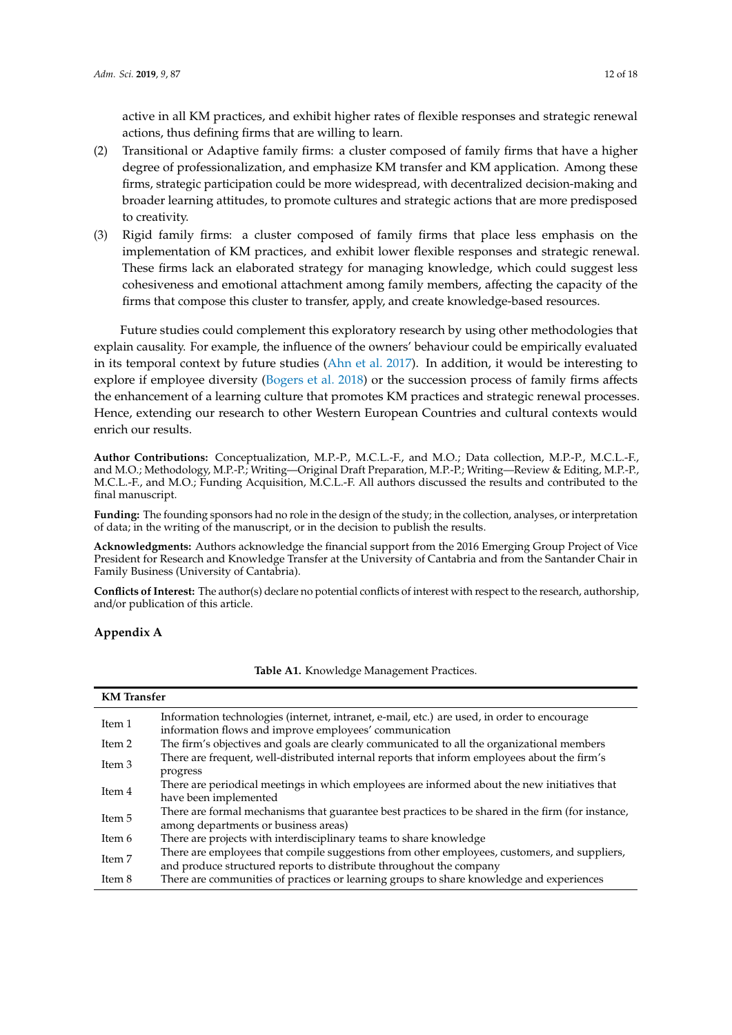active in all KM practices, and exhibit higher rates of flexible responses and strategic renewal actions, thus defining firms that are willing to learn.

- (2) Transitional or Adaptive family firms: a cluster composed of family firms that have a higher degree of professionalization, and emphasize KM transfer and KM application. Among these firms, strategic participation could be more widespread, with decentralized decision-making and broader learning attitudes, to promote cultures and strategic actions that are more predisposed to creativity.
- (3) Rigid family firms: a cluster composed of family firms that place less emphasis on the implementation of KM practices, and exhibit lower flexible responses and strategic renewal. These firms lack an elaborated strategy for managing knowledge, which could suggest less cohesiveness and emotional attachment among family members, affecting the capacity of the firms that compose this cluster to transfer, apply, and create knowledge-based resources.

Future studies could complement this exploratory research by using other methodologies that explain causality. For example, the influence of the owners' behaviour could be empirically evaluated in its temporal context by future studies [\(Ahn et al.](#page-12-5) [2017\)](#page-12-5). In addition, it would be interesting to explore if employee diversity [\(Bogers et al.](#page-13-20) [2018\)](#page-13-20) or the succession process of family firms affects the enhancement of a learning culture that promotes KM practices and strategic renewal processes. Hence, extending our research to other Western European Countries and cultural contexts would enrich our results.

**Author Contributions:** Conceptualization, M.P.-P., M.C.L.-F., and M.O.; Data collection, M.P.-P., M.C.L.-F., and M.O.; Methodology, M.P.-P.; Writing—Original Draft Preparation, M.P.-P.; Writing—Review & Editing, M.P.-P., M.C.L.-F., and M.O.; Funding Acquisition, M.C.L.-F. All authors discussed the results and contributed to the final manuscript.

**Funding:** The founding sponsors had no role in the design of the study; in the collection, analyses, or interpretation of data; in the writing of the manuscript, or in the decision to publish the results.

**Acknowledgments:** Authors acknowledge the financial support from the 2016 Emerging Group Project of Vice President for Research and Knowledge Transfer at the University of Cantabria and from the Santander Chair in Family Business (University of Cantabria).

**Conflicts of Interest:** The author(s) declare no potential conflicts of interest with respect to the research, authorship, and/or publication of this article.

# <span id="page-11-0"></span>**Appendix A**

| <b>KM</b> Transfer |                                                                                                                                                                     |  |  |  |
|--------------------|---------------------------------------------------------------------------------------------------------------------------------------------------------------------|--|--|--|
| Item 1             | Information technologies (internet, intranet, e-mail, etc.) are used, in order to encourage<br>information flows and improve employees' communication               |  |  |  |
| Item 2             | The firm's objectives and goals are clearly communicated to all the organizational members                                                                          |  |  |  |
| Item 3             | There are frequent, well-distributed internal reports that inform employees about the firm's<br>progress                                                            |  |  |  |
| Item 4             | There are periodical meetings in which employees are informed about the new initiatives that<br>have been implemented                                               |  |  |  |
| Item 5             | There are formal mechanisms that guarantee best practices to be shared in the firm (for instance,<br>among departments or business areas)                           |  |  |  |
| Item 6             | There are projects with interdisciplinary teams to share knowledge                                                                                                  |  |  |  |
| Item 7             | There are employees that compile suggestions from other employees, customers, and suppliers,<br>and produce structured reports to distribute throughout the company |  |  |  |
| Item 8             | There are communities of practices or learning groups to share knowledge and experiences                                                                            |  |  |  |

**Table A1.** Knowledge Management Practices.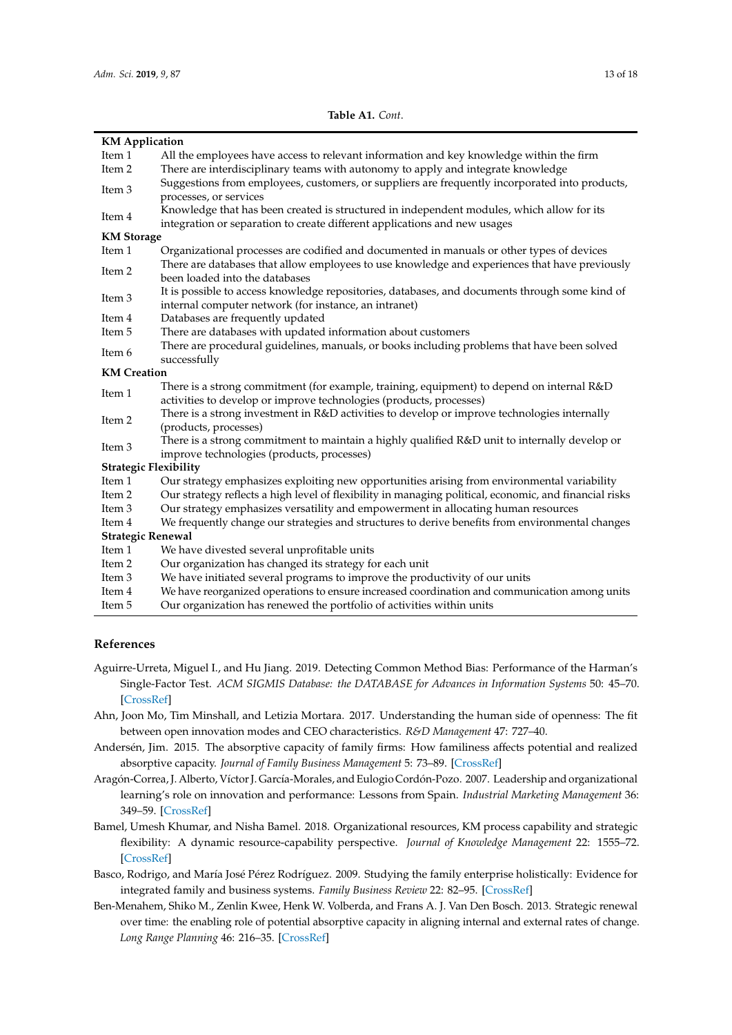#### **Table A1.** *Cont*.

| <b>KM Application</b>        |                                                                                                                                                                        |  |  |  |
|------------------------------|------------------------------------------------------------------------------------------------------------------------------------------------------------------------|--|--|--|
| Item 1                       | All the employees have access to relevant information and key knowledge within the firm                                                                                |  |  |  |
| Item 2                       | There are interdisciplinary teams with autonomy to apply and integrate knowledge                                                                                       |  |  |  |
| Item 3                       | Suggestions from employees, customers, or suppliers are frequently incorporated into products,<br>processes, or services                                               |  |  |  |
| Item 4                       | Knowledge that has been created is structured in independent modules, which allow for its<br>integration or separation to create different applications and new usages |  |  |  |
| <b>KM Storage</b>            |                                                                                                                                                                        |  |  |  |
| Item 1                       | Organizational processes are codified and documented in manuals or other types of devices                                                                              |  |  |  |
| Item 2                       | There are databases that allow employees to use knowledge and experiences that have previously<br>been loaded into the databases                                       |  |  |  |
| Item 3                       | It is possible to access knowledge repositories, databases, and documents through some kind of<br>internal computer network (for instance, an intranet)                |  |  |  |
| Item 4                       | Databases are frequently updated                                                                                                                                       |  |  |  |
| Item 5                       | There are databases with updated information about customers                                                                                                           |  |  |  |
| Item 6                       | There are procedural guidelines, manuals, or books including problems that have been solved<br>successfully                                                            |  |  |  |
| <b>KM</b> Creation           |                                                                                                                                                                        |  |  |  |
| Item 1                       | There is a strong commitment (for example, training, equipment) to depend on internal R&D<br>activities to develop or improve technologies (products, processes)       |  |  |  |
| Item 2                       | There is a strong investment in R&D activities to develop or improve technologies internally<br>(products, processes)                                                  |  |  |  |
| Item 3                       | There is a strong commitment to maintain a highly qualified R&D unit to internally develop or<br>improve technologies (products, processes)                            |  |  |  |
| <b>Strategic Flexibility</b> |                                                                                                                                                                        |  |  |  |
| Item 1                       | Our strategy emphasizes exploiting new opportunities arising from environmental variability                                                                            |  |  |  |
| Item 2                       | Our strategy reflects a high level of flexibility in managing political, economic, and financial risks                                                                 |  |  |  |
| Item 3                       | Our strategy emphasizes versatility and empowerment in allocating human resources                                                                                      |  |  |  |
| Item 4                       | We frequently change our strategies and structures to derive benefits from environmental changes                                                                       |  |  |  |
| <b>Strategic Renewal</b>     |                                                                                                                                                                        |  |  |  |
| Item 1                       | We have divested several unprofitable units                                                                                                                            |  |  |  |
| Item 2                       | Our organization has changed its strategy for each unit                                                                                                                |  |  |  |
| Item 3                       | We have initiated several programs to improve the productivity of our units                                                                                            |  |  |  |
| Item 4                       | We have reorganized operations to ensure increased coordination and communication among units                                                                          |  |  |  |
| Item 5                       | Our organization has renewed the portfolio of activities within units                                                                                                  |  |  |  |

#### **References**

- <span id="page-12-6"></span>Aguirre-Urreta, Miguel I., and Hu Jiang. 2019. Detecting Common Method Bias: Performance of the Harman's Single-Factor Test. *ACM SIGMIS Database: the DATABASE for Advances in Information Systems* 50: 45–70. [\[CrossRef\]](http://dx.doi.org/10.1145/3330472.3330477)
- <span id="page-12-5"></span>Ahn, Joon Mo, Tim Minshall, and Letizia Mortara. 2017. Understanding the human side of openness: The fit between open innovation modes and CEO characteristics. *R&D Management* 47: 727–40.
- <span id="page-12-3"></span>Andersén, Jim. 2015. The absorptive capacity of family firms: How familiness affects potential and realized absorptive capacity. *Journal of Family Business Management* 5: 73–89. [\[CrossRef\]](http://dx.doi.org/10.1108/JFBM-05-2014-0012)
- <span id="page-12-4"></span>Aragón-Correa, J. Alberto, Víctor J. García-Morales, and Eulogio Cordón-Pozo. 2007. Leadership and organizational learning's role on innovation and performance: Lessons from Spain. *Industrial Marketing Management* 36: 349–59. [\[CrossRef\]](http://dx.doi.org/10.1016/j.indmarman.2005.09.006)
- <span id="page-12-0"></span>Bamel, Umesh Khumar, and Nisha Bamel. 2018. Organizational resources, KM process capability and strategic flexibility: A dynamic resource-capability perspective. *Journal of Knowledge Management* 22: 1555–72. [\[CrossRef\]](http://dx.doi.org/10.1108/JKM-10-2017-0460)
- <span id="page-12-1"></span>Basco, Rodrigo, and María José Pérez Rodríguez. 2009. Studying the family enterprise holistically: Evidence for integrated family and business systems. *Family Business Review* 22: 82–95. [\[CrossRef\]](http://dx.doi.org/10.1177/0894486508327824)
- <span id="page-12-2"></span>Ben-Menahem, Shiko M., Zenlin Kwee, Henk W. Volberda, and Frans A. J. Van Den Bosch. 2013. Strategic renewal over time: the enabling role of potential absorptive capacity in aligning internal and external rates of change. *Long Range Planning* 46: 216–35. [\[CrossRef\]](http://dx.doi.org/10.1016/j.lrp.2012.09.012)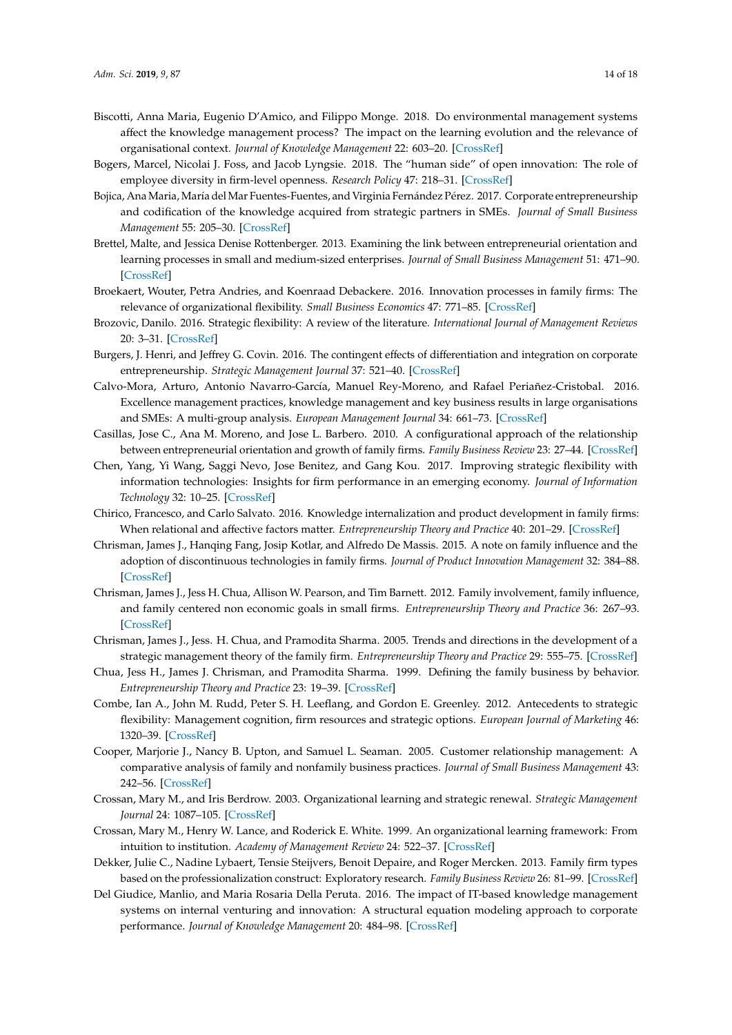- <span id="page-13-9"></span>Biscotti, Anna Maria, Eugenio D'Amico, and Filippo Monge. 2018. Do environmental management systems affect the knowledge management process? The impact on the learning evolution and the relevance of organisational context. *Journal of Knowledge Management* 22: 603–20. [\[CrossRef\]](http://dx.doi.org/10.1108/JKM-08-2017-0344)
- <span id="page-13-20"></span>Bogers, Marcel, Nicolai J. Foss, and Jacob Lyngsie. 2018. The "human side" of open innovation: The role of employee diversity in firm-level openness. *Research Policy* 47: 218–31. [\[CrossRef\]](http://dx.doi.org/10.1016/j.respol.2017.10.012)
- <span id="page-13-2"></span>Bojica, AnaMaria, María delMar Fuentes-Fuentes, and Virginia Fernández Pérez. 2017. Corporate entrepreneurship and codification of the knowledge acquired from strategic partners in SMEs. *Journal of Small Business Management* 55: 205–30. [\[CrossRef\]](http://dx.doi.org/10.1111/jsbm.12310)
- <span id="page-13-13"></span>Brettel, Malte, and Jessica Denise Rottenberger. 2013. Examining the link between entrepreneurial orientation and learning processes in small and medium-sized enterprises. *Journal of Small Business Management* 51: 471–90. [\[CrossRef\]](http://dx.doi.org/10.1111/jsbm.12002)
- <span id="page-13-12"></span>Broekaert, Wouter, Petra Andries, and Koenraad Debackere. 2016. Innovation processes in family firms: The relevance of organizational flexibility. *Small Business Economics* 47: 771–85. [\[CrossRef\]](http://dx.doi.org/10.1007/s11187-016-9760-7)
- <span id="page-13-6"></span>Brozovic, Danilo. 2016. Strategic flexibility: A review of the literature. *International Journal of Management Reviews* 20: 3–31. [\[CrossRef\]](http://dx.doi.org/10.1111/ijmr.12111)
- <span id="page-13-17"></span>Burgers, J. Henri, and Jeffrey G. Covin. 2016. The contingent effects of differentiation and integration on corporate entrepreneurship. *Strategic Management Journal* 37: 521–40. [\[CrossRef\]](http://dx.doi.org/10.1002/smj.2343)
- <span id="page-13-8"></span>Calvo-Mora, Arturo, Antonio Navarro-García, Manuel Rey-Moreno, and Rafael Periañez-Cristobal. 2016. Excellence management practices, knowledge management and key business results in large organisations and SMEs: A multi-group analysis. *European Management Journal* 34: 661–73. [\[CrossRef\]](http://dx.doi.org/10.1016/j.emj.2016.06.005)
- <span id="page-13-15"></span>Casillas, Jose C., Ana M. Moreno, and Jose L. Barbero. 2010. A configurational approach of the relationship between entrepreneurial orientation and growth of family firms. *Family Business Review* 23: 27–44. [\[CrossRef\]](http://dx.doi.org/10.1177/0894486509345159)
- <span id="page-13-0"></span>Chen, Yang, Yi Wang, Saggi Nevo, Jose Benitez, and Gang Kou. 2017. Improving strategic flexibility with information technologies: Insights for firm performance in an emerging economy. *Journal of Information Technology* 32: 10–25. [\[CrossRef\]](http://dx.doi.org/10.1057/jit.2015.26)
- <span id="page-13-11"></span>Chirico, Francesco, and Carlo Salvato. 2016. Knowledge internalization and product development in family firms: When relational and affective factors matter. *Entrepreneurship Theory and Practice* 40: 201–29. [\[CrossRef\]](http://dx.doi.org/10.1111/etap.12114)
- <span id="page-13-18"></span>Chrisman, James J., Hanqing Fang, Josip Kotlar, and Alfredo De Massis. 2015. A note on family influence and the adoption of discontinuous technologies in family firms. *Journal of Product Innovation Management* 32: 384–88. [\[CrossRef\]](http://dx.doi.org/10.1111/jpim.12206)
- <span id="page-13-19"></span>Chrisman, James J., Jess H. Chua, Allison W. Pearson, and Tim Barnett. 2012. Family involvement, family influence, and family centered non economic goals in small firms. *Entrepreneurship Theory and Practice* 36: 267–93. [\[CrossRef\]](http://dx.doi.org/10.1111/j.1540-6520.2010.00407.x)
- <span id="page-13-10"></span>Chrisman, James J., Jess. H. Chua, and Pramodita Sharma. 2005. Trends and directions in the development of a strategic management theory of the family firm. *Entrepreneurship Theory and Practice* 29: 555–75. [\[CrossRef\]](http://dx.doi.org/10.1111/j.1540-6520.2005.00098.x)
- <span id="page-13-16"></span>Chua, Jess H., James J. Chrisman, and Pramodita Sharma. 1999. Defining the family business by behavior. *Entrepreneurship Theory and Practice* 23: 19–39. [\[CrossRef\]](http://dx.doi.org/10.1177/104225879902300402)
- <span id="page-13-7"></span>Combe, Ian A., John M. Rudd, Peter S. H. Leeflang, and Gordon E. Greenley. 2012. Antecedents to strategic flexibility: Management cognition, firm resources and strategic options. *European Journal of Marketing* 46: 1320–39. [\[CrossRef\]](http://dx.doi.org/10.1108/03090561211248053)
- <span id="page-13-14"></span>Cooper, Marjorie J., Nancy B. Upton, and Samuel L. Seaman. 2005. Customer relationship management: A comparative analysis of family and nonfamily business practices. *Journal of Small Business Management* 43: 242–56. [\[CrossRef\]](http://dx.doi.org/10.1111/j.1540-627X.2005.00136.x)
- <span id="page-13-4"></span>Crossan, Mary M., and Iris Berdrow. 2003. Organizational learning and strategic renewal. *Strategic Management Journal* 24: 1087–105. [\[CrossRef\]](http://dx.doi.org/10.1002/smj.342)
- <span id="page-13-5"></span>Crossan, Mary M., Henry W. Lance, and Roderick E. White. 1999. An organizational learning framework: From intuition to institution. *Academy of Management Review* 24: 522–37. [\[CrossRef\]](http://dx.doi.org/10.5465/amr.1999.2202135)
- <span id="page-13-3"></span>Dekker, Julie C., Nadine Lybaert, Tensie Steijvers, Benoit Depaire, and Roger Mercken. 2013. Family firm types based on the professionalization construct: Exploratory research. *Family Business Review* 26: 81–99. [\[CrossRef\]](http://dx.doi.org/10.1177/0894486512445614)
- <span id="page-13-1"></span>Del Giudice, Manlio, and Maria Rosaria Della Peruta. 2016. The impact of IT-based knowledge management systems on internal venturing and innovation: A structural equation modeling approach to corporate performance. *Journal of Knowledge Management* 20: 484–98. [\[CrossRef\]](http://dx.doi.org/10.1108/JKM-07-2015-0257)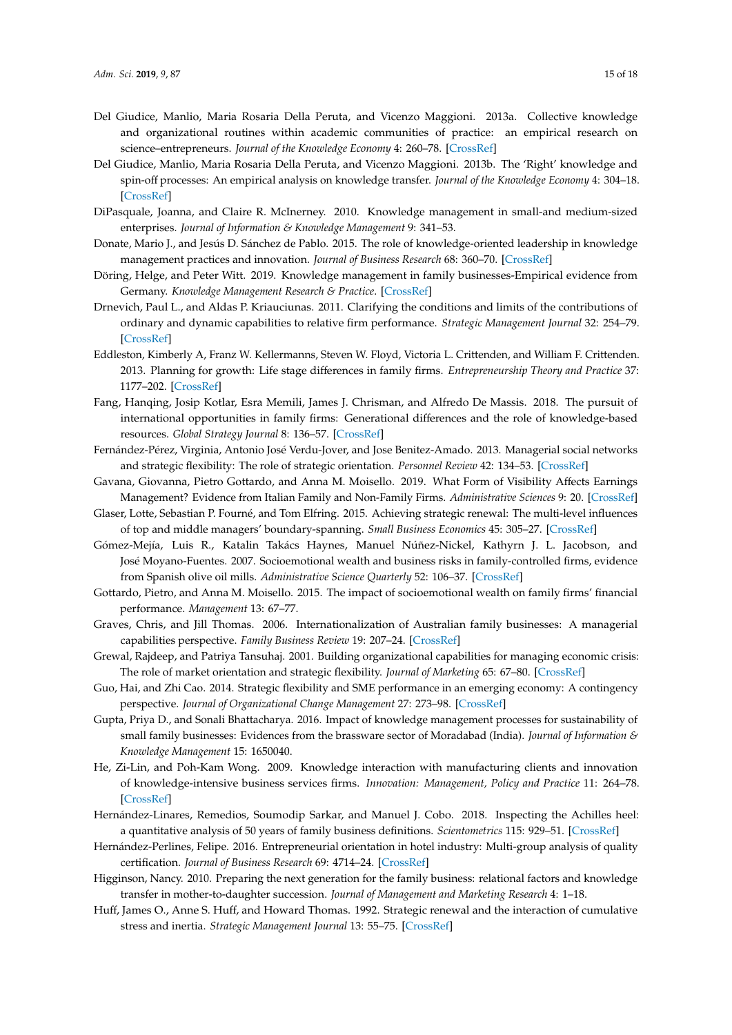- <span id="page-14-1"></span>Del Giudice, Manlio, Maria Rosaria Della Peruta, and Vicenzo Maggioni. 2013a. Collective knowledge and organizational routines within academic communities of practice: an empirical research on science–entrepreneurs. *Journal of the Knowledge Economy* 4: 260–78. [\[CrossRef\]](http://dx.doi.org/10.1007/s13132-013-0158-3)
- <span id="page-14-2"></span>Del Giudice, Manlio, Maria Rosaria Della Peruta, and Vicenzo Maggioni. 2013b. The 'Right' knowledge and spin-off processes: An empirical analysis on knowledge transfer. *Journal of the Knowledge Economy* 4: 304–18. [\[CrossRef\]](http://dx.doi.org/10.1007/s13132-013-0160-9)
- <span id="page-14-12"></span>DiPasquale, Joanna, and Claire R. McInerney. 2010. Knowledge management in small-and medium-sized enterprises. *Journal of Information & Knowledge Management* 9: 341–53.
- <span id="page-14-7"></span>Donate, Mario J., and Jesús D. Sánchez de Pablo. 2015. The role of knowledge-oriented leadership in knowledge management practices and innovation. *Journal of Business Research* 68: 360–70. [\[CrossRef\]](http://dx.doi.org/10.1016/j.jbusres.2014.06.022)
- <span id="page-14-4"></span>Döring, Helge, and Peter Witt. 2019. Knowledge management in family businesses-Empirical evidence from Germany. *Knowledge Management Research & Practice*. [\[CrossRef\]](http://dx.doi.org/10.1080/14778238)
- <span id="page-14-19"></span>Drnevich, Paul L., and Aldas P. Kriauciunas. 2011. Clarifying the conditions and limits of the contributions of ordinary and dynamic capabilities to relative firm performance. *Strategic Management Journal* 32: 254–79. [\[CrossRef\]](http://dx.doi.org/10.1002/smj.882)
- <span id="page-14-15"></span>Eddleston, Kimberly A, Franz W. Kellermanns, Steven W. Floyd, Victoria L. Crittenden, and William F. Crittenden. 2013. Planning for growth: Life stage differences in family firms. *Entrepreneurship Theory and Practice* 37: 1177–202. [\[CrossRef\]](http://dx.doi.org/10.1111/etap.12002)
- <span id="page-14-8"></span>Fang, Hanqing, Josip Kotlar, Esra Memili, James J. Chrisman, and Alfredo De Massis. 2018. The pursuit of international opportunities in family firms: Generational differences and the role of knowledge-based resources. *Global Strategy Journal* 8: 136–57. [\[CrossRef\]](http://dx.doi.org/10.1002/gsj.1197)
- <span id="page-14-6"></span>Fernández-Pérez, Virginia, Antonio José Verdu-Jover, and Jose Benitez-Amado. 2013. Managerial social networks and strategic flexibility: The role of strategic orientation. *Personnel Review* 42: 134–53. [\[CrossRef\]](http://dx.doi.org/10.1108/00483481311309357)
- <span id="page-14-3"></span>Gavana, Giovanna, Pietro Gottardo, and Anna M. Moisello. 2019. What Form of Visibility Affects Earnings Management? Evidence from Italian Family and Non-Family Firms. *Administrative Sciences* 9: 20. [\[CrossRef\]](http://dx.doi.org/10.3390/admsci9010020)
- <span id="page-14-20"></span>Glaser, Lotte, Sebastian P. Fourné, and Tom Elfring. 2015. Achieving strategic renewal: The multi-level influences of top and middle managers' boundary-spanning. *Small Business Economics* 45: 305–27. [\[CrossRef\]](http://dx.doi.org/10.1007/s11187-015-9633-5)
- <span id="page-14-10"></span>Gómez-Mejía, Luis R., Katalin Takács Haynes, Manuel Núñez-Nickel, Kathyrn J. L. Jacobson, and José Moyano-Fuentes. 2007. Socioemotional wealth and business risks in family-controlled firms, evidence from Spanish olive oil mills. *Administrative Science Quarterly* 52: 106–37. [\[CrossRef\]](http://dx.doi.org/10.2189/asqu.52.1.106)
- <span id="page-14-13"></span>Gottardo, Pietro, and Anna M. Moisello. 2015. The impact of socioemotional wealth on family firms' financial performance. *Management* 13: 67–77.
- <span id="page-14-5"></span>Graves, Chris, and Jill Thomas. 2006. Internationalization of Australian family businesses: A managerial capabilities perspective. *Family Business Review* 19: 207–24. [\[CrossRef\]](http://dx.doi.org/10.1111/j.1741-6248.2006.00066.x)
- <span id="page-14-18"></span>Grewal, Rajdeep, and Patriya Tansuhaj. 2001. Building organizational capabilities for managing economic crisis: The role of market orientation and strategic flexibility. *Journal of Marketing* 65: 67–80. [\[CrossRef\]](http://dx.doi.org/10.1509/jmkg.65.2.67.18259)
- <span id="page-14-0"></span>Guo, Hai, and Zhi Cao. 2014. Strategic flexibility and SME performance in an emerging economy: A contingency perspective. *Journal of Organizational Change Management* 27: 273–98. [\[CrossRef\]](http://dx.doi.org/10.1108/JOCM-11-2012-0177)
- <span id="page-14-9"></span>Gupta, Priya D., and Sonali Bhattacharya. 2016. Impact of knowledge management processes for sustainability of small family businesses: Evidences from the brassware sector of Moradabad (India). *Journal of Information & Knowledge Management* 15: 1650040.
- <span id="page-14-17"></span>He, Zi-Lin, and Poh-Kam Wong. 2009. Knowledge interaction with manufacturing clients and innovation of knowledge-intensive business services firms. *Innovation: Management, Policy and Practice* 11: 264–78. [\[CrossRef\]](http://dx.doi.org/10.5172/impp.11.3.264)
- <span id="page-14-16"></span>Hernández-Linares, Remedios, Soumodip Sarkar, and Manuel J. Cobo. 2018. Inspecting the Achilles heel: a quantitative analysis of 50 years of family business definitions. *Scientometrics* 115: 929–51. [\[CrossRef\]](http://dx.doi.org/10.1007/s11192-018-2702-1)
- <span id="page-14-14"></span>Hernández-Perlines, Felipe. 2016. Entrepreneurial orientation in hotel industry: Multi-group analysis of quality certification. *Journal of Business Research* 69: 4714–24. [\[CrossRef\]](http://dx.doi.org/10.1016/j.jbusres.2016.04.019)
- <span id="page-14-11"></span>Higginson, Nancy. 2010. Preparing the next generation for the family business: relational factors and knowledge transfer in mother-to-daughter succession. *Journal of Management and Marketing Research* 4: 1–18.
- <span id="page-14-21"></span>Huff, James O., Anne S. Huff, and Howard Thomas. 1992. Strategic renewal and the interaction of cumulative stress and inertia. *Strategic Management Journal* 13: 55–75. [\[CrossRef\]](http://dx.doi.org/10.1002/smj.4250131006)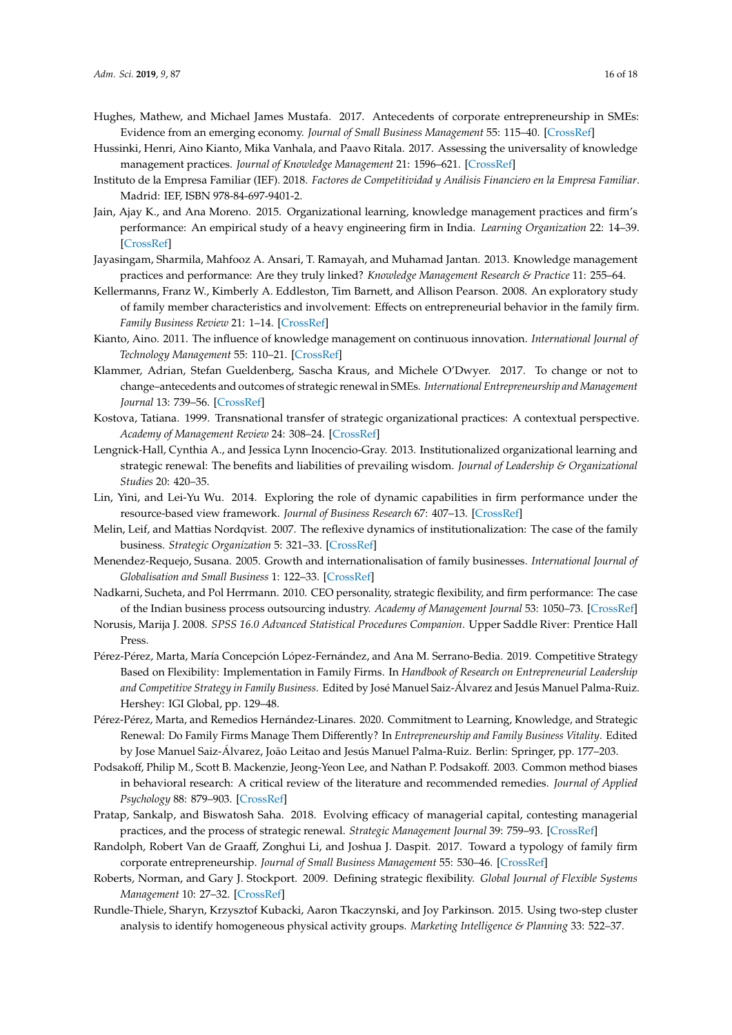- <span id="page-15-4"></span>Hughes, Mathew, and Michael James Mustafa. 2017. Antecedents of corporate entrepreneurship in SMEs: Evidence from an emerging economy. *Journal of Small Business Management* 55: 115–40. [\[CrossRef\]](http://dx.doi.org/10.1111/jsbm.12269)
- <span id="page-15-9"></span>Hussinki, Henri, Aino Kianto, Mika Vanhala, and Paavo Ritala. 2017. Assessing the universality of knowledge management practices. *Journal of Knowledge Management* 21: 1596–621. [\[CrossRef\]](http://dx.doi.org/10.1108/JKM-09-2016-0394)
- <span id="page-15-7"></span>Instituto de la Empresa Familiar (IEF). 2018. *Factores de Competitividad y Análisis Financiero en la Empresa Familiar*. Madrid: IEF, ISBN 978-84-697-9401-2.
- <span id="page-15-20"></span>Jain, Ajay K., and Ana Moreno. 2015. Organizational learning, knowledge management practices and firm's performance: An empirical study of a heavy engineering firm in India. *Learning Organization* 22: 14–39. [\[CrossRef\]](http://dx.doi.org/10.1108/TLO-05-2013-0024)
- <span id="page-15-10"></span>Jayasingam, Sharmila, Mahfooz A. Ansari, T. Ramayah, and Muhamad Jantan. 2013. Knowledge management practices and performance: Are they truly linked? *Knowledge Management Research & Practice* 11: 255–64.
- <span id="page-15-15"></span>Kellermanns, Franz W., Kimberly A. Eddleston, Tim Barnett, and Allison Pearson. 2008. An exploratory study of family member characteristics and involvement: Effects on entrepreneurial behavior in the family firm. *Family Business Review* 21: 1–14. [\[CrossRef\]](http://dx.doi.org/10.1111/j.1741-6248.2007.00107.x)
- <span id="page-15-0"></span>Kianto, Aino. 2011. The influence of knowledge management on continuous innovation. *International Journal of Technology Management* 55: 110–21. [\[CrossRef\]](http://dx.doi.org/10.1504/IJTM.2011.041682)
- <span id="page-15-3"></span>Klammer, Adrian, Stefan Gueldenberg, Sascha Kraus, and Michele O'Dwyer. 2017. To change or not to change–antecedents and outcomes of strategic renewal in SMEs. *International Entrepreneurship and Management Journal* 13: 739–56. [\[CrossRef\]](http://dx.doi.org/10.1007/s11365-016-0420-9)
- <span id="page-15-11"></span>Kostova, Tatiana. 1999. Transnational transfer of strategic organizational practices: A contextual perspective. *Academy of Management Review* 24: 308–24. [\[CrossRef\]](http://dx.doi.org/10.5465/amr.1999.1893938)
- <span id="page-15-8"></span>Lengnick-Hall, Cynthia A., and Jessica Lynn Inocencio-Gray. 2013. Institutionalized organizational learning and strategic renewal: The benefits and liabilities of prevailing wisdom. *Journal of Leadership & Organizational Studies* 20: 420–35.
- <span id="page-15-12"></span>Lin, Yini, and Lei-Yu Wu. 2014. Exploring the role of dynamic capabilities in firm performance under the resource-based view framework. *Journal of Business Research* 67: 407–13. [\[CrossRef\]](http://dx.doi.org/10.1016/j.jbusres.2012.12.019)
- <span id="page-15-6"></span>Melin, Leif, and Mattias Nordqvist. 2007. The reflexive dynamics of institutionalization: The case of the family business. *Strategic Organization* 5: 321–33. [\[CrossRef\]](http://dx.doi.org/10.1177/1476127007079959)
- <span id="page-15-5"></span>Menendez-Requejo, Susana. 2005. Growth and internationalisation of family businesses. *International Journal of Globalisation and Small Business* 1: 122–33. [\[CrossRef\]](http://dx.doi.org/10.1504/IJGSB.2005.008009)
- <span id="page-15-16"></span>Nadkarni, Sucheta, and Pol Herrmann. 2010. CEO personality, strategic flexibility, and firm performance: The case of the Indian business process outsourcing industry. *Academy of Management Journal* 53: 1050–73. [\[CrossRef\]](http://dx.doi.org/10.5465/amj.2010.54533196)
- <span id="page-15-19"></span>Norusis, Marija J. 2008. *SPSS 16.0 Advanced Statistical Procedures Companion*. Upper Saddle River: Prentice Hall Press.
- <span id="page-15-14"></span>Pérez-Pérez, Marta, María Concepción López-Fernández, and Ana M. Serrano-Bedia. 2019. Competitive Strategy Based on Flexibility: Implementation in Family Firms. In *Handbook of Research on Entrepreneurial Leadership and Competitive Strategy in Family Business*. Edited by José Manuel Saiz-Álvarez and Jesús Manuel Palma-Ruiz. Hershey: IGI Global, pp. 129–48.
- <span id="page-15-2"></span>Pérez-Pérez, Marta, and Remedios Hernández-Linares. 2020. Commitment to Learning, Knowledge, and Strategic Renewal: Do Family Firms Manage Them Differently? In *Entrepreneurship and Family Business Vitality*. Edited by Jose Manuel Saiz-Álvarez, João Leitao and Jesús Manuel Palma-Ruiz. Berlin: Springer, pp. 177–203.
- <span id="page-15-17"></span>Podsakoff, Philip M., Scott B. Mackenzie, Jeong-Yeon Lee, and Nathan P. Podsakoff. 2003. Common method biases in behavioral research: A critical review of the literature and recommended remedies. *Journal of Applied Psychology* 88: 879–903. [\[CrossRef\]](http://dx.doi.org/10.1037/0021-9010.88.5.879)
- <span id="page-15-1"></span>Pratap, Sankalp, and Biswatosh Saha. 2018. Evolving efficacy of managerial capital, contesting managerial practices, and the process of strategic renewal. *Strategic Management Journal* 39: 759–93. [\[CrossRef\]](http://dx.doi.org/10.1002/smj.2749)
- <span id="page-15-21"></span>Randolph, Robert Van de Graaff, Zonghui Li, and Joshua J. Daspit. 2017. Toward a typology of family firm corporate entrepreneurship. *Journal of Small Business Management* 55: 530–46. [\[CrossRef\]](http://dx.doi.org/10.1111/jsbm.12342)
- <span id="page-15-13"></span>Roberts, Norman, and Gary J. Stockport. 2009. Defining strategic flexibility. *Global Journal of Flexible Systems Management* 10: 27–32. [\[CrossRef\]](http://dx.doi.org/10.1007/BF03396553)
- <span id="page-15-18"></span>Rundle-Thiele, Sharyn, Krzysztof Kubacki, Aaron Tkaczynski, and Joy Parkinson. 2015. Using two-step cluster analysis to identify homogeneous physical activity groups. *Marketing Intelligence & Planning* 33: 522–37.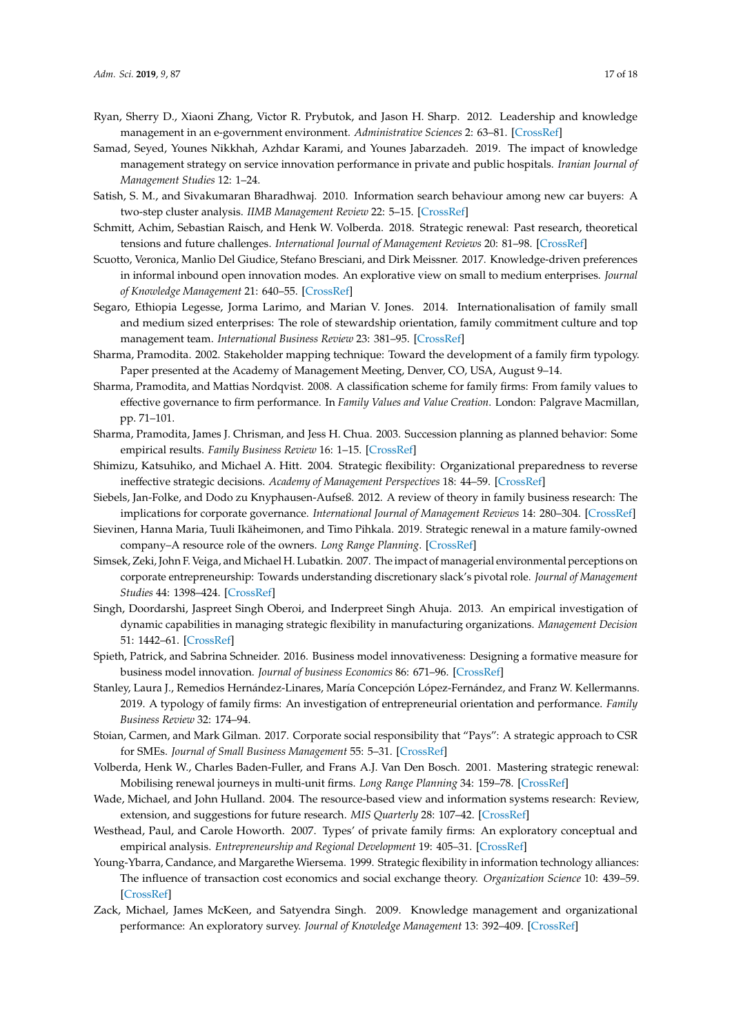- <span id="page-16-2"></span>Ryan, Sherry D., Xiaoni Zhang, Victor R. Prybutok, and Jason H. Sharp. 2012. Leadership and knowledge management in an e-government environment. *Administrative Sciences* 2: 63–81. [\[CrossRef\]](http://dx.doi.org/10.3390/admsci2010063)
- <span id="page-16-18"></span>Samad, Seyed, Younes Nikkhah, Azhdar Karami, and Younes Jabarzadeh. 2019. The impact of knowledge management strategy on service innovation performance in private and public hospitals. *Iranian Journal of Management Studies* 12: 1–24.
- <span id="page-16-20"></span>Satish, S. M., and Sivakumaran Bharadhwaj. 2010. Information search behaviour among new car buyers: A two-step cluster analysis. *IIMB Management Review* 22: 5–15. [\[CrossRef\]](http://dx.doi.org/10.1016/j.iimb.2010.03.005)
- <span id="page-16-0"></span>Schmitt, Achim, Sebastian Raisch, and Henk W. Volberda. 2018. Strategic renewal: Past research, theoretical tensions and future challenges. *International Journal of Management Reviews* 20: 81–98. [\[CrossRef\]](http://dx.doi.org/10.1111/ijmr.12117)
- <span id="page-16-1"></span>Scuotto, Veronica, Manlio Del Giudice, Stefano Bresciani, and Dirk Meissner. 2017. Knowledge-driven preferences in informal inbound open innovation modes. An explorative view on small to medium enterprises. *Journal of Knowledge Management* 21: 640–55. [\[CrossRef\]](http://dx.doi.org/10.1108/JKM-10-2016-0465)
- <span id="page-16-4"></span>Segaro, Ethiopia Legesse, Jorma Larimo, and Marian V. Jones. 2014. Internationalisation of family small and medium sized enterprises: The role of stewardship orientation, family commitment culture and top management team. *International Business Review* 23: 381–95. [\[CrossRef\]](http://dx.doi.org/10.1016/j.ibusrev.2013.06.004)
- <span id="page-16-14"></span>Sharma, Pramodita. 2002. Stakeholder mapping technique: Toward the development of a family firm typology. Paper presented at the Academy of Management Meeting, Denver, CO, USA, August 9–14.
- <span id="page-16-5"></span>Sharma, Pramodita, and Mattias Nordqvist. 2008. A classification scheme for family firms: From family values to effective governance to firm performance. In *Family Values and Value Creation*. London: Palgrave Macmillan, pp. 71–101.
- <span id="page-16-17"></span>Sharma, Pramodita, James J. Chrisman, and Jess H. Chua. 2003. Succession planning as planned behavior: Some empirical results. *Family Business Review* 16: 1–15. [\[CrossRef\]](http://dx.doi.org/10.1111/j.1741-6248.2003.00001.x)
- <span id="page-16-11"></span>Shimizu, Katsuhiko, and Michael A. Hitt. 2004. Strategic flexibility: Organizational preparedness to reverse ineffective strategic decisions. *Academy of Management Perspectives* 18: 44–59. [\[CrossRef\]](http://dx.doi.org/10.5465/ame.2004.15268683)
- <span id="page-16-7"></span>Siebels, Jan-Folke, and Dodo zu Knyphausen-Aufseß. 2012. A review of theory in family business research: The implications for corporate governance. *International Journal of Management Reviews* 14: 280–304. [\[CrossRef\]](http://dx.doi.org/10.1111/j.1468-2370.2011.00317.x)
- <span id="page-16-21"></span>Sievinen, Hanna Maria, Tuuli Ikäheimonen, and Timo Pihkala. 2019. Strategic renewal in a mature family-owned company–A resource role of the owners. *Long Range Planning*. [\[CrossRef\]](http://dx.doi.org/10.1016/j.lrp.2019.01.001)
- <span id="page-16-19"></span>Simsek, Zeki, John F. Veiga, and Michael H. Lubatkin. 2007. The impact of managerial environmental perceptions on corporate entrepreneurship: Towards understanding discretionary slack's pivotal role. *Journal of Management Studies* 44: 1398–424. [\[CrossRef\]](http://dx.doi.org/10.1111/j.1467-6486.2007.00714.x)
- <span id="page-16-9"></span>Singh, Doordarshi, Jaspreet Singh Oberoi, and Inderpreet Singh Ahuja. 2013. An empirical investigation of dynamic capabilities in managing strategic flexibility in manufacturing organizations. *Management Decision* 51: 1442–61. [\[CrossRef\]](http://dx.doi.org/10.1108/MD-05-2012-0332)
- <span id="page-16-3"></span>Spieth, Patrick, and Sabrina Schneider. 2016. Business model innovativeness: Designing a formative measure for business model innovation. *Journal of business Economics* 86: 671–96. [\[CrossRef\]](http://dx.doi.org/10.1007/s11573-015-0794-0)
- <span id="page-16-8"></span>Stanley, Laura J., Remedios Hernández-Linares, María Concepción López-Fernández, and Franz W. Kellermanns. 2019. A typology of family firms: An investigation of entrepreneurial orientation and performance. *Family Business Review* 32: 174–94.
- <span id="page-16-15"></span>Stoian, Carmen, and Mark Gilman. 2017. Corporate social responsibility that "Pays": A strategic approach to CSR for SMEs. *Journal of Small Business Management* 55: 5–31. [\[CrossRef\]](http://dx.doi.org/10.1111/jsbm.12224)
- <span id="page-16-10"></span>Volberda, Henk W., Charles Baden-Fuller, and Frans A.J. Van Den Bosch. 2001. Mastering strategic renewal: Mobilising renewal journeys in multi-unit firms. *Long Range Planning* 34: 159–78. [\[CrossRef\]](http://dx.doi.org/10.1016/S0024-6301(01)00032-2)
- <span id="page-16-16"></span>Wade, Michael, and John Hulland. 2004. The resource-based view and information systems research: Review, extension, and suggestions for future research. *MIS Quarterly* 28: 107–42. [\[CrossRef\]](http://dx.doi.org/10.2307/25148626)
- <span id="page-16-6"></span>Westhead, Paul, and Carole Howorth. 2007. Types' of private family firms: An exploratory conceptual and empirical analysis. *Entrepreneurship and Regional Development* 19: 405–31. [\[CrossRef\]](http://dx.doi.org/10.1080/08985620701552405)
- <span id="page-16-12"></span>Young-Ybarra, Candance, and Margarethe Wiersema. 1999. Strategic flexibility in information technology alliances: The influence of transaction cost economics and social exchange theory. *Organization Science* 10: 439–59. [\[CrossRef\]](http://dx.doi.org/10.1287/orsc.10.4.439)
- <span id="page-16-13"></span>Zack, Michael, James McKeen, and Satyendra Singh. 2009. Knowledge management and organizational performance: An exploratory survey. *Journal of Knowledge Management* 13: 392–409. [\[CrossRef\]](http://dx.doi.org/10.1108/13673270910997088)